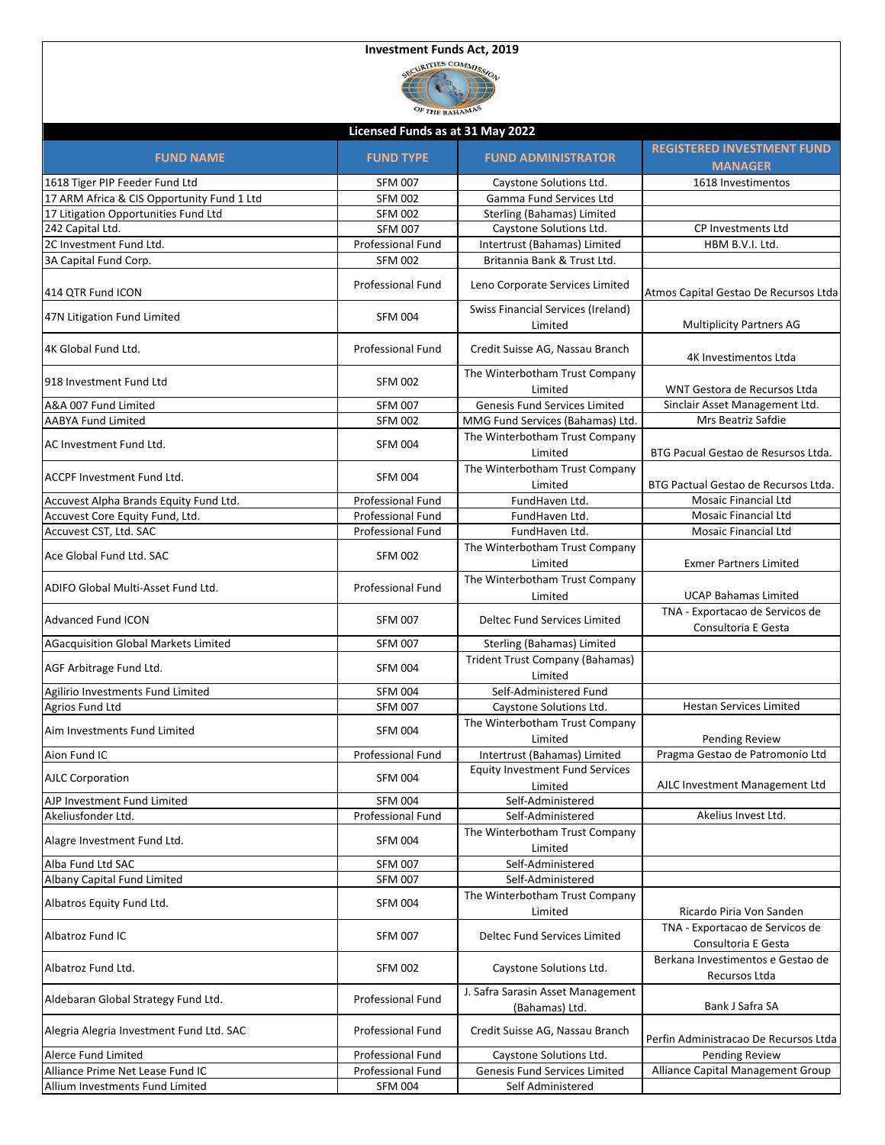|                                             | SECURITIES COMMISSION<br>OF THE BAHAMP |                                                     |                                                        |
|---------------------------------------------|----------------------------------------|-----------------------------------------------------|--------------------------------------------------------|
|                                             | Licensed Funds as at 31 May 2022       |                                                     |                                                        |
| <b>FUND NAME</b>                            | <b>FUND TYPE</b>                       | <b>FUND ADMINISTRATOR</b>                           | <b>REGISTERED INVESTMENT FUND</b><br><b>MANAGER</b>    |
| 1618 Tiger PIP Feeder Fund Ltd              | <b>SFM 007</b>                         | Caystone Solutions Ltd.                             | 1618 Investimentos                                     |
| 17 ARM Africa & CIS Opportunity Fund 1 Ltd  | <b>SFM 002</b>                         | Gamma Fund Services Ltd                             |                                                        |
| 17 Litigation Opportunities Fund Ltd        | <b>SFM 002</b>                         | Sterling (Bahamas) Limited                          |                                                        |
| 242 Capital Ltd.                            | <b>SFM 007</b>                         | Caystone Solutions Ltd.                             | <b>CP Investments Ltd</b>                              |
| 2C Investment Fund Ltd.                     | Professional Fund                      | Intertrust (Bahamas) Limited                        | HBM B.V.I. Ltd.                                        |
| 3A Capital Fund Corp.                       | <b>SFM 002</b>                         | Britannia Bank & Trust Ltd.                         |                                                        |
| 414 QTR Fund ICON                           | Professional Fund                      | Leno Corporate Services Limited                     | Atmos Capital Gestao De Recursos Ltda                  |
| 47N Litigation Fund Limited                 | <b>SFM 004</b>                         | Swiss Financial Services (Ireland)<br>Limited       | <b>Multiplicity Partners AG</b>                        |
| 4K Global Fund Ltd.                         | Professional Fund                      | Credit Suisse AG, Nassau Branch                     | 4K Investimentos Ltda                                  |
| 918 Investment Fund Ltd                     | <b>SFM 002</b>                         | The Winterbotham Trust Company<br>Limited           | WNT Gestora de Recursos Ltda                           |
| A&A 007 Fund Limited                        | <b>SFM 007</b>                         | Genesis Fund Services Limited                       | Sinclair Asset Management Ltd.                         |
| <b>AABYA Fund Limited</b>                   | <b>SFM 002</b>                         | MMG Fund Services (Bahamas) Ltd.                    | Mrs Beatriz Safdie                                     |
| AC Investment Fund Ltd.                     | <b>SFM 004</b>                         | The Winterbotham Trust Company<br>Limited           | BTG Pacual Gestao de Resursos Ltda.                    |
| <b>ACCPF Investment Fund Ltd.</b>           | <b>SFM 004</b>                         | The Winterbotham Trust Company                      |                                                        |
|                                             |                                        | Limited                                             | BTG Pactual Gestao de Recursos Ltda.                   |
| Accuvest Alpha Brands Equity Fund Ltd.      | Professional Fund                      | FundHaven Ltd.                                      | <b>Mosaic Financial Ltd</b>                            |
| Accuvest Core Equity Fund, Ltd.             | Professional Fund                      | FundHaven Ltd.                                      | Mosaic Financial Ltd                                   |
| Accuvest CST, Ltd. SAC                      | <b>Professional Fund</b>               | FundHaven Ltd.                                      | Mosaic Financial Ltd                                   |
| Ace Global Fund Ltd. SAC                    | <b>SFM 002</b>                         | The Winterbotham Trust Company<br>Limited           | <b>Exmer Partners Limited</b>                          |
| ADIFO Global Multi-Asset Fund Ltd.          | Professional Fund                      | The Winterbotham Trust Company<br>Limited           | <b>UCAP Bahamas Limited</b>                            |
| <b>Advanced Fund ICON</b>                   | <b>SFM 007</b>                         | Deltec Fund Services Limited                        | TNA - Exportacao de Servicos de<br>Consultoria E Gesta |
| <b>AGacquisition Global Markets Limited</b> | <b>SFM 007</b>                         | Sterling (Bahamas) Limited                          |                                                        |
| AGF Arbitrage Fund Ltd.                     | <b>SFM 004</b>                         | Trident Trust Company (Bahamas)<br>Limited          |                                                        |
| Agilirio Investments Fund Limited           | <b>SFM 004</b>                         | Self-Administered Fund                              |                                                        |
| Agrios Fund Ltd                             | <b>SFM 007</b>                         | Caystone Solutions Ltd.                             | <b>Hestan Services Limited</b>                         |
| Aim Investments Fund Limited                | <b>SFM 004</b>                         | The Winterbotham Trust Company<br>Limited           | <b>Pending Review</b>                                  |
| Aion Fund IC                                | Professional Fund                      | Intertrust (Bahamas) Limited                        | Pragma Gestao de Patromonio Ltd                        |
| <b>AJLC Corporation</b>                     | <b>SFM 004</b>                         | <b>Equity Investment Fund Services</b>              |                                                        |
|                                             |                                        | Limited                                             | AJLC Investment Management Ltd                         |
| AJP Investment Fund Limited                 | <b>SFM 004</b>                         | Self-Administered                                   |                                                        |
| Akeliusfonder Ltd.                          | <b>Professional Fund</b>               | Self-Administered                                   | Akelius Invest Ltd.                                    |
| Alagre Investment Fund Ltd.                 | <b>SFM 004</b>                         | The Winterbotham Trust Company<br>Limited           |                                                        |
| Alba Fund Ltd SAC                           | <b>SFM 007</b>                         | Self-Administered                                   |                                                        |
| Albany Capital Fund Limited                 | <b>SFM 007</b>                         | Self-Administered                                   |                                                        |
| Albatros Equity Fund Ltd.                   | <b>SFM 004</b>                         | The Winterbotham Trust Company<br>Limited           | Ricardo Piria Von Sanden                               |
| Albatroz Fund IC                            | <b>SFM 007</b>                         | Deltec Fund Services Limited                        | TNA - Exportacao de Servicos de<br>Consultoria E Gesta |
| Albatroz Fund Ltd.                          | <b>SFM 002</b>                         | Caystone Solutions Ltd.                             | Berkana Investimentos e Gestao de<br>Recursos Ltda     |
| Aldebaran Global Strategy Fund Ltd.         | Professional Fund                      | J. Safra Sarasin Asset Management<br>(Bahamas) Ltd. | Bank J Safra SA                                        |
| Alegria Alegria Investment Fund Ltd. SAC    | Professional Fund                      | Credit Suisse AG, Nassau Branch                     | Perfin Administracao De Recursos Ltda                  |
| Alerce Fund Limited                         | Professional Fund                      | Caystone Solutions Ltd.                             | <b>Pending Review</b>                                  |
| Alliance Prime Net Lease Fund IC            | Professional Fund                      | Genesis Fund Services Limited                       | Alliance Capital Management Group                      |
| Allium Investments Fund Limited             | <b>SFM 004</b>                         | Self Administered                                   |                                                        |

**Investment Funds Act, 2019**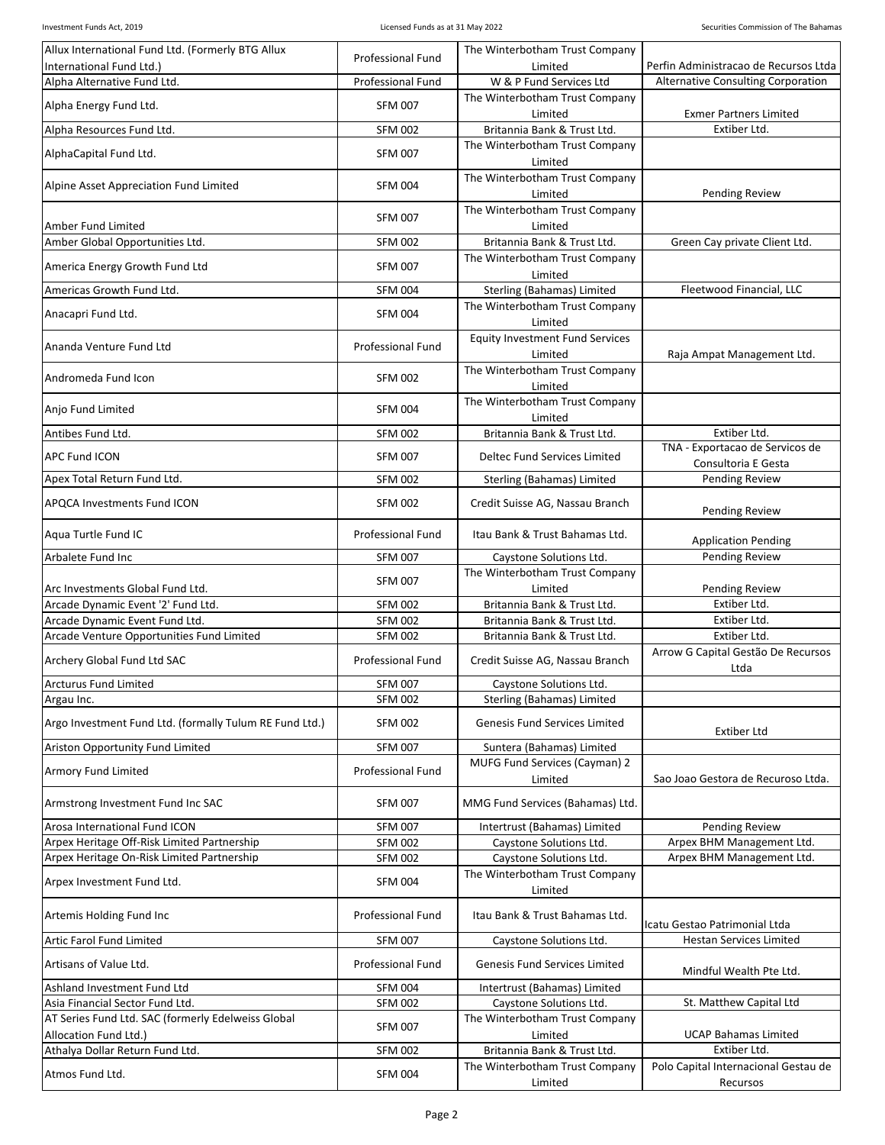| Allux International Fund Ltd. (Formerly BTG Allux       | <b>Professional Fund</b> | The Winterbotham Trust Company            |                                                        |
|---------------------------------------------------------|--------------------------|-------------------------------------------|--------------------------------------------------------|
| International Fund Ltd.)                                |                          | Limited                                   | Perfin Administracao de Recursos Ltda                  |
| Alpha Alternative Fund Ltd.                             | <b>Professional Fund</b> | W & P Fund Services Ltd                   | Alternative Consulting Corporation                     |
| Alpha Energy Fund Ltd.                                  | <b>SFM 007</b>           | The Winterbotham Trust Company            |                                                        |
| Alpha Resources Fund Ltd.                               | <b>SFM 002</b>           | Limited<br>Britannia Bank & Trust Ltd.    | <b>Exmer Partners Limited</b><br>Extiber Ltd.          |
|                                                         |                          | The Winterbotham Trust Company            |                                                        |
| AlphaCapital Fund Ltd.                                  | <b>SFM 007</b>           | Limited                                   |                                                        |
| Alpine Asset Appreciation Fund Limited                  | <b>SFM 004</b>           | The Winterbotham Trust Company            |                                                        |
|                                                         |                          | Limited                                   | Pending Review                                         |
|                                                         | <b>SFM 007</b>           | The Winterbotham Trust Company            |                                                        |
| Amber Fund Limited                                      |                          | Limited                                   |                                                        |
| Amber Global Opportunities Ltd.                         | <b>SFM 002</b>           | Britannia Bank & Trust Ltd.               | Green Cay private Client Ltd.                          |
| America Energy Growth Fund Ltd                          | <b>SFM 007</b>           | The Winterbotham Trust Company<br>Limited |                                                        |
| Americas Growth Fund Ltd.                               | <b>SFM 004</b>           | Sterling (Bahamas) Limited                | Fleetwood Financial, LLC                               |
|                                                         |                          | The Winterbotham Trust Company            |                                                        |
| Anacapri Fund Ltd.                                      | <b>SFM 004</b>           | Limited                                   |                                                        |
| Ananda Venture Fund Ltd                                 | <b>Professional Fund</b> | <b>Equity Investment Fund Services</b>    |                                                        |
|                                                         |                          | Limited<br>The Winterbotham Trust Company | Raja Ampat Management Ltd.                             |
| Andromeda Fund Icon                                     | <b>SFM 002</b>           | Limited                                   |                                                        |
|                                                         | <b>SFM 004</b>           | The Winterbotham Trust Company            |                                                        |
| Anjo Fund Limited                                       |                          | Limited                                   |                                                        |
| Antibes Fund Ltd.                                       | <b>SFM 002</b>           | Britannia Bank & Trust Ltd.               | Extiber Ltd.                                           |
| <b>APC Fund ICON</b>                                    | <b>SFM 007</b>           | Deltec Fund Services Limited              | TNA - Exportacao de Servicos de<br>Consultoria E Gesta |
| Apex Total Return Fund Ltd.                             | <b>SFM 002</b>           | Sterling (Bahamas) Limited                | Pending Review                                         |
|                                                         |                          |                                           |                                                        |
| APQCA Investments Fund ICON                             | <b>SFM 002</b>           | Credit Suisse AG, Nassau Branch           | Pending Review                                         |
| Aqua Turtle Fund IC                                     | <b>Professional Fund</b> | Itau Bank & Trust Bahamas Ltd.            | <b>Application Pending</b>                             |
| Arbalete Fund Inc                                       | <b>SFM 007</b>           | Caystone Solutions Ltd.                   | Pending Review                                         |
|                                                         | <b>SFM 007</b>           | The Winterbotham Trust Company            |                                                        |
| Arc Investments Global Fund Ltd.                        |                          | Limited                                   | Pending Review                                         |
| Arcade Dynamic Event '2' Fund Ltd.                      | <b>SFM 002</b>           | Britannia Bank & Trust Ltd.               | Extiber Ltd.                                           |
| Arcade Dynamic Event Fund Ltd.                          | <b>SFM 002</b>           | Britannia Bank & Trust Ltd.               | Extiber Ltd.<br>Extiber Ltd.                           |
| Arcade Venture Opportunities Fund Limited               | <b>SFM 002</b>           | Britannia Bank & Trust Ltd.               | Arrow G Capital Gestão De Recursos                     |
| Archery Global Fund Ltd SAC                             | <b>Professional Fund</b> | Credit Suisse AG, Nassau Branch           | Ltda                                                   |
| Arcturus Fund Limited                                   | <b>SFM 007</b>           | Caystone Solutions Ltd.                   |                                                        |
| Argau Inc.                                              | <b>SFM 002</b>           | Sterling (Bahamas) Limited                |                                                        |
| Argo Investment Fund Ltd. (formally Tulum RE Fund Ltd.) | <b>SFM 002</b>           | Genesis Fund Services Limited             | Extiber Ltd                                            |
| <b>Ariston Opportunity Fund Limited</b>                 | <b>SFM 007</b>           | Suntera (Bahamas) Limited                 |                                                        |
|                                                         |                          | MUFG Fund Services (Cayman) 2             |                                                        |
| <b>Armory Fund Limited</b>                              | Professional Fund        | Limited                                   | Sao Joao Gestora de Recuroso Ltda.                     |
| Armstrong Investment Fund Inc SAC                       | <b>SFM 007</b>           | MMG Fund Services (Bahamas) Ltd.          |                                                        |
| Arosa International Fund ICON                           | <b>SFM 007</b>           | Intertrust (Bahamas) Limited              | Pending Review                                         |
| Arpex Heritage Off-Risk Limited Partnership             | <b>SFM 002</b>           | Caystone Solutions Ltd.                   | Arpex BHM Management Ltd.                              |
| Arpex Heritage On-Risk Limited Partnership              | <b>SFM 002</b>           | Caystone Solutions Ltd.                   | Arpex BHM Management Ltd.                              |
| Arpex Investment Fund Ltd.                              | <b>SFM 004</b>           | The Winterbotham Trust Company<br>Limited |                                                        |
| Artemis Holding Fund Inc                                | <b>Professional Fund</b> | Itau Bank & Trust Bahamas Ltd.            | Icatu Gestao Patrimonial Ltda                          |
| Artic Farol Fund Limited                                | <b>SFM 007</b>           | Caystone Solutions Ltd.                   | <b>Hestan Services Limited</b>                         |
| Artisans of Value Ltd.                                  | <b>Professional Fund</b> | <b>Genesis Fund Services Limited</b>      | Mindful Wealth Pte Ltd.                                |
| Ashland Investment Fund Ltd                             | <b>SFM 004</b>           | Intertrust (Bahamas) Limited              |                                                        |
| Asia Financial Sector Fund Ltd.                         | <b>SFM 002</b>           | Caystone Solutions Ltd.                   | St. Matthew Capital Ltd                                |
| AT Series Fund Ltd. SAC (formerly Edelweiss Global      | <b>SFM 007</b>           | The Winterbotham Trust Company            |                                                        |
| Allocation Fund Ltd.)                                   |                          | Limited                                   | <b>UCAP Bahamas Limited</b>                            |
| Athalya Dollar Return Fund Ltd.                         | <b>SFM 002</b>           | Britannia Bank & Trust Ltd.               | Extiber Ltd.                                           |
|                                                         |                          |                                           |                                                        |
| Atmos Fund Ltd.                                         | <b>SFM 004</b>           | The Winterbotham Trust Company<br>Limited | Polo Capital Internacional Gestau de<br>Recursos       |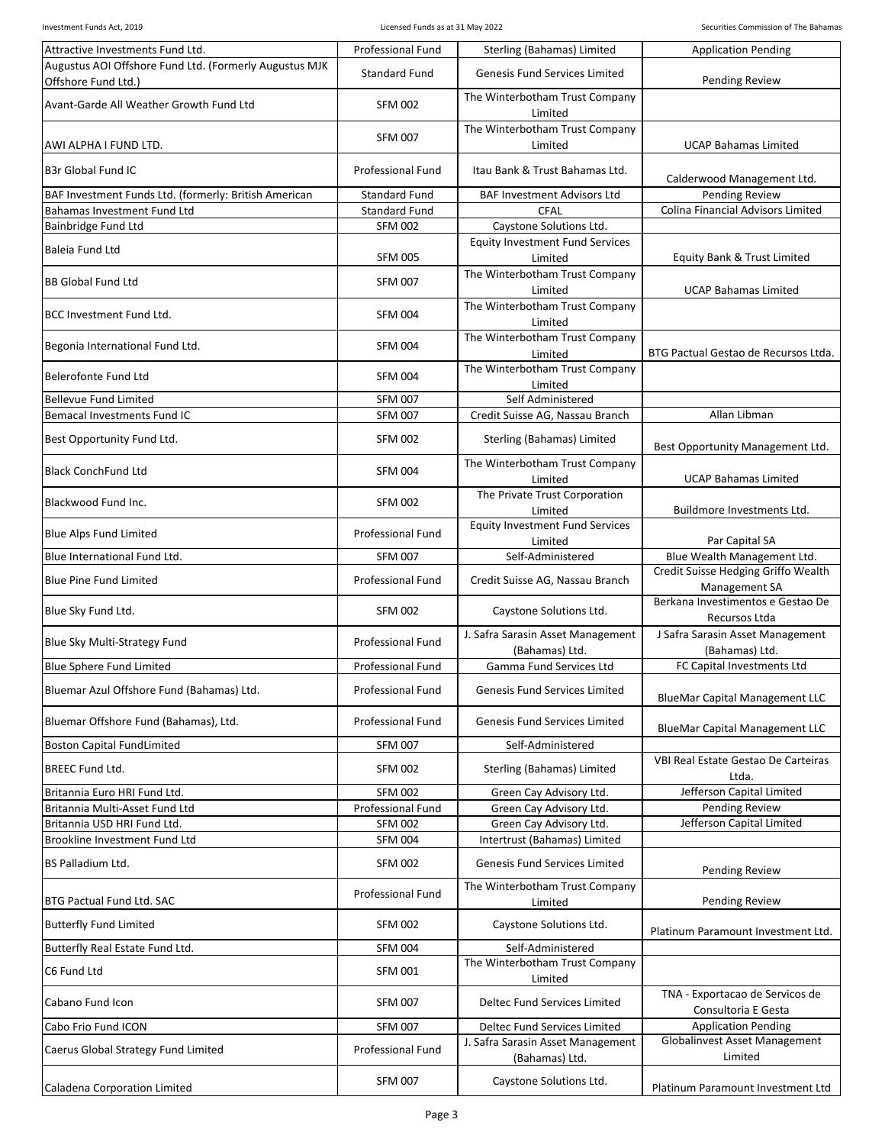| Attractive Investments Fund Ltd.                                   | <b>Professional Fund</b>         | Sterling (Bahamas) Limited                          | <b>Application Pending</b>                                         |
|--------------------------------------------------------------------|----------------------------------|-----------------------------------------------------|--------------------------------------------------------------------|
| Augustus AOI Offshore Fund Ltd. (Formerly Augustus MJK             | <b>Standard Fund</b>             | <b>Genesis Fund Services Limited</b>                |                                                                    |
| Offshore Fund Ltd.)                                                |                                  | The Winterbotham Trust Company                      | <b>Pending Review</b>                                              |
| Avant-Garde All Weather Growth Fund Ltd                            | <b>SFM 002</b>                   | Limited                                             |                                                                    |
|                                                                    | <b>SFM 007</b>                   | The Winterbotham Trust Company                      |                                                                    |
| AWI ALPHA I FUND LTD.                                              |                                  | Limited                                             | <b>UCAP Bahamas Limited</b>                                        |
| <b>B3r Global Fund IC</b>                                          | <b>Professional Fund</b>         | Itau Bank & Trust Bahamas Ltd.                      |                                                                    |
| BAF Investment Funds Ltd. (formerly: British American              | <b>Standard Fund</b>             | <b>BAF Investment Advisors Ltd</b>                  | Calderwood Management Ltd.<br><b>Pending Review</b>                |
| Bahamas Investment Fund Ltd                                        | <b>Standard Fund</b>             | CFAL                                                | <b>Colina Financial Advisors Limited</b>                           |
| Bainbridge Fund Ltd                                                | <b>SFM 002</b>                   | Caystone Solutions Ltd.                             |                                                                    |
| Baleia Fund Ltd                                                    |                                  | <b>Equity Investment Fund Services</b>              |                                                                    |
|                                                                    | <b>SFM 005</b>                   | Limited<br>The Winterbotham Trust Company           | Equity Bank & Trust Limited                                        |
| <b>BB Global Fund Ltd</b>                                          | <b>SFM 007</b>                   | Limited                                             | <b>UCAP Bahamas Limited</b>                                        |
| <b>BCC Investment Fund Ltd.</b>                                    | <b>SFM 004</b>                   | The Winterbotham Trust Company                      |                                                                    |
|                                                                    |                                  | Limited                                             |                                                                    |
| Begonia International Fund Ltd.                                    | <b>SFM 004</b>                   | The Winterbotham Trust Company<br>Limited           | BTG Pactual Gestao de Recursos Ltda.                               |
| <b>Belerofonte Fund Ltd</b>                                        | <b>SFM 004</b>                   | The Winterbotham Trust Company                      |                                                                    |
|                                                                    |                                  | Limited                                             |                                                                    |
| <b>Bellevue Fund Limited</b><br><b>Bemacal Investments Fund IC</b> | <b>SFM 007</b><br><b>SFM 007</b> | Self Administered                                   | Allan Libman                                                       |
|                                                                    |                                  | Credit Suisse AG, Nassau Branch                     |                                                                    |
| Best Opportunity Fund Ltd.                                         | <b>SFM 002</b>                   | Sterling (Bahamas) Limited                          | Best Opportunity Management Ltd.                                   |
| <b>Black ConchFund Ltd</b>                                         | <b>SFM 004</b>                   | The Winterbotham Trust Company                      |                                                                    |
|                                                                    |                                  | Limited                                             | <b>UCAP Bahamas Limited</b>                                        |
| Blackwood Fund Inc.                                                | <b>SFM 002</b>                   | The Private Trust Corporation<br>Limited            | Buildmore Investments Ltd.                                         |
| <b>Blue Alps Fund Limited</b>                                      | <b>Professional Fund</b>         | <b>Equity Investment Fund Services</b>              |                                                                    |
|                                                                    |                                  | Limited                                             | Par Capital SA                                                     |
| Blue International Fund Ltd.                                       | <b>SFM 007</b>                   | Self-Administered                                   | Blue Wealth Management Ltd.<br>Credit Suisse Hedging Griffo Wealth |
| <b>Blue Pine Fund Limited</b>                                      | <b>Professional Fund</b>         | Credit Suisse AG, Nassau Branch                     | Management SA                                                      |
| Blue Sky Fund Ltd.                                                 | <b>SFM 002</b>                   | Caystone Solutions Ltd.                             | Berkana Investimentos e Gestao De                                  |
|                                                                    |                                  |                                                     | Recursos Ltda                                                      |
| Blue Sky Multi-Strategy Fund                                       | <b>Professional Fund</b>         | J. Safra Sarasin Asset Management<br>(Bahamas) Ltd. | J Safra Sarasin Asset Management<br>(Bahamas) Ltd.                 |
| <b>Blue Sphere Fund Limited</b>                                    | <b>Professional Fund</b>         | Gamma Fund Services Ltd                             | FC Capital Investments Ltd                                         |
| Bluemar Azul Offshore Fund (Bahamas) Ltd.                          | <b>Professional Fund</b>         | Genesis Fund Services Limited                       |                                                                    |
|                                                                    |                                  |                                                     | <b>BlueMar Capital Management LLC</b>                              |
| Bluemar Offshore Fund (Bahamas), Ltd.                              | <b>Professional Fund</b>         | <b>Genesis Fund Services Limited</b>                | <b>BlueMar Capital Management LLC</b>                              |
| <b>Boston Capital FundLimited</b>                                  | <b>SFM 007</b>                   | Self-Administered                                   |                                                                    |
| <b>BREEC Fund Ltd.</b>                                             | <b>SFM 002</b>                   | Sterling (Bahamas) Limited                          | VBI Real Estate Gestao De Carteiras                                |
| Britannia Euro HRI Fund Ltd.                                       | <b>SFM 002</b>                   | Green Cay Advisory Ltd.                             | Ltda.<br>Jefferson Capital Limited                                 |
| Britannia Multi-Asset Fund Ltd                                     | <b>Professional Fund</b>         | Green Cay Advisory Ltd.                             | Pending Review                                                     |
| Britannia USD HRI Fund Ltd.                                        | <b>SFM 002</b>                   | Green Cay Advisory Ltd.                             | Jefferson Capital Limited                                          |
| Brookline Investment Fund Ltd                                      | <b>SFM 004</b>                   | Intertrust (Bahamas) Limited                        |                                                                    |
| BS Palladium Ltd.                                                  | <b>SFM 002</b>                   | Genesis Fund Services Limited                       |                                                                    |
|                                                                    |                                  | The Winterbotham Trust Company                      | <b>Pending Review</b>                                              |
| BTG Pactual Fund Ltd. SAC                                          | <b>Professional Fund</b>         | Limited                                             | <b>Pending Review</b>                                              |
| <b>Butterfly Fund Limited</b>                                      | <b>SFM 002</b>                   | Caystone Solutions Ltd.                             |                                                                    |
| Butterfly Real Estate Fund Ltd.                                    | <b>SFM 004</b>                   | Self-Administered                                   | Platinum Paramount Investment Ltd.                                 |
|                                                                    |                                  | The Winterbotham Trust Company                      |                                                                    |
| C6 Fund Ltd                                                        | <b>SFM 001</b>                   | Limited                                             |                                                                    |
| Cabano Fund Icon                                                   | <b>SFM 007</b>                   | Deltec Fund Services Limited                        | TNA - Exportacao de Servicos de                                    |
| Cabo Frio Fund ICON                                                | <b>SFM 007</b>                   | Deltec Fund Services Limited                        | Consultoria E Gesta<br><b>Application Pending</b>                  |
|                                                                    |                                  | J. Safra Sarasin Asset Management                   | <b>Globalinvest Asset Management</b>                               |
| Caerus Global Strategy Fund Limited                                | <b>Professional Fund</b>         | (Bahamas) Ltd.                                      | Limited                                                            |
| Caladena Corporation Limited                                       | <b>SFM 007</b>                   | Caystone Solutions Ltd.                             | Platinum Paramount Investment Ltd                                  |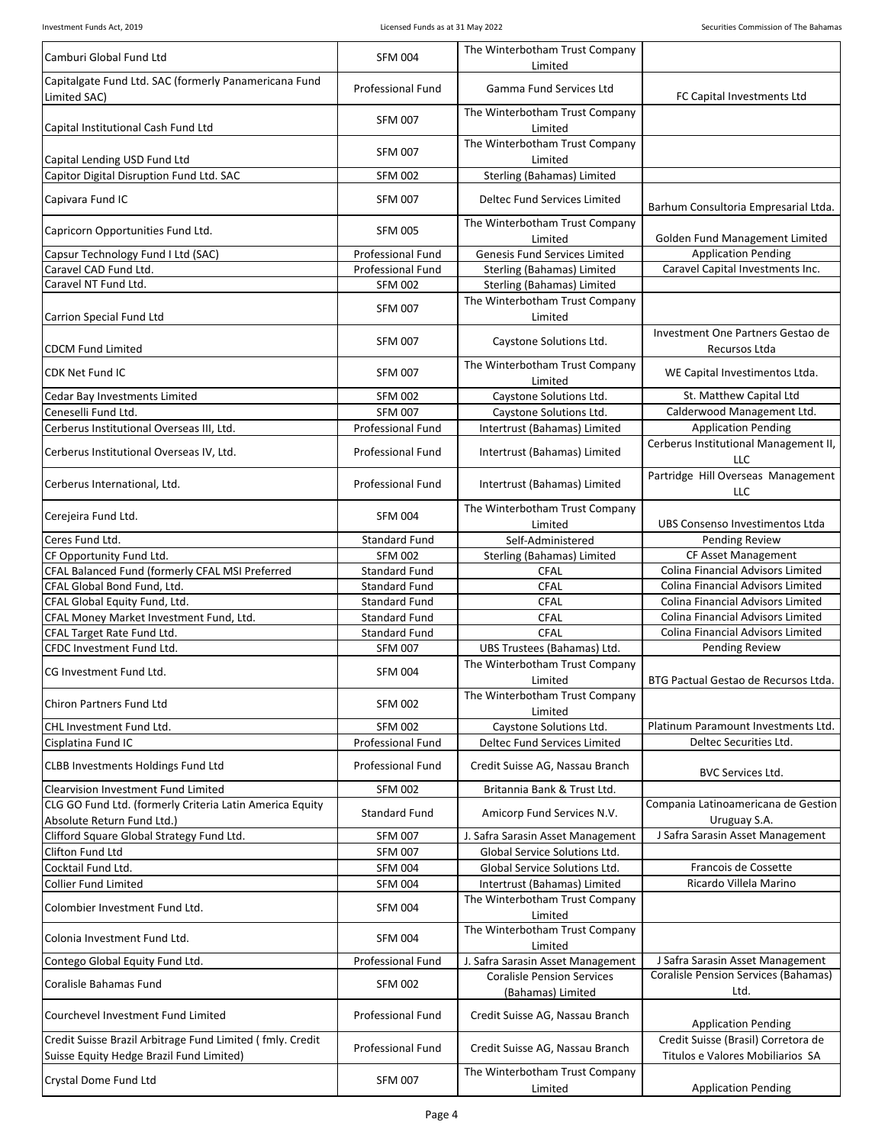| Camburi Global Fund Ltd                                                                               | <b>SFM 004</b>           | The Winterbotham Trust Company<br>Limited              |                                                                         |
|-------------------------------------------------------------------------------------------------------|--------------------------|--------------------------------------------------------|-------------------------------------------------------------------------|
| Capitalgate Fund Ltd. SAC (formerly Panamericana Fund<br>Limited SAC)                                 | <b>Professional Fund</b> | Gamma Fund Services Ltd                                | FC Capital Investments Ltd                                              |
| Capital Institutional Cash Fund Ltd                                                                   | <b>SFM 007</b>           | The Winterbotham Trust Company<br>Limited              |                                                                         |
| Capital Lending USD Fund Ltd                                                                          | <b>SFM 007</b>           | The Winterbotham Trust Company<br>Limited              |                                                                         |
| Capitor Digital Disruption Fund Ltd. SAC                                                              | <b>SFM 002</b>           | Sterling (Bahamas) Limited                             |                                                                         |
| Capivara Fund IC                                                                                      | <b>SFM 007</b>           | Deltec Fund Services Limited                           | Barhum Consultoria Empresarial Ltda.                                    |
| Capricorn Opportunities Fund Ltd.                                                                     | <b>SFM 005</b>           | The Winterbotham Trust Company<br>Limited              | Golden Fund Management Limited                                          |
| Capsur Technology Fund I Ltd (SAC)                                                                    | <b>Professional Fund</b> | Genesis Fund Services Limited                          | <b>Application Pending</b>                                              |
| Caravel CAD Fund Ltd.                                                                                 | <b>Professional Fund</b> | Sterling (Bahamas) Limited                             | Caravel Capital Investments Inc.                                        |
| Caravel NT Fund Ltd.                                                                                  | <b>SFM 002</b>           | Sterling (Bahamas) Limited                             |                                                                         |
| Carrion Special Fund Ltd                                                                              | <b>SFM 007</b>           | The Winterbotham Trust Company<br>Limited              |                                                                         |
| <b>CDCM Fund Limited</b>                                                                              | <b>SFM 007</b>           | Caystone Solutions Ltd.                                | Investment One Partners Gestao de<br>Recursos Ltda                      |
| CDK Net Fund IC                                                                                       | <b>SFM 007</b>           | The Winterbotham Trust Company<br>Limited              | WE Capital Investimentos Ltda.                                          |
| Cedar Bay Investments Limited                                                                         | <b>SFM 002</b>           | Caystone Solutions Ltd.                                | St. Matthew Capital Ltd                                                 |
| Ceneselli Fund Ltd.                                                                                   | <b>SFM 007</b>           | Caystone Solutions Ltd.                                | Calderwood Management Ltd.                                              |
| Cerberus Institutional Overseas III, Ltd.                                                             | <b>Professional Fund</b> | Intertrust (Bahamas) Limited                           | <b>Application Pending</b>                                              |
| Cerberus Institutional Overseas IV, Ltd.                                                              | <b>Professional Fund</b> | Intertrust (Bahamas) Limited                           | Cerberus Institutional Management II,<br>LLC                            |
| Cerberus International, Ltd.                                                                          | <b>Professional Fund</b> | Intertrust (Bahamas) Limited                           | Partridge Hill Overseas Management<br><b>LLC</b>                        |
| Cerejeira Fund Ltd.                                                                                   | <b>SFM 004</b>           | The Winterbotham Trust Company<br>Limited              | UBS Consenso Investimentos Ltda                                         |
| Ceres Fund Ltd.                                                                                       | <b>Standard Fund</b>     | Self-Administered                                      | Pending Review                                                          |
| CF Opportunity Fund Ltd.                                                                              | <b>SFM 002</b>           | Sterling (Bahamas) Limited                             | CF Asset Management                                                     |
| CFAL Balanced Fund (formerly CFAL MSI Preferred                                                       | <b>Standard Fund</b>     | <b>CFAL</b>                                            | Colina Financial Advisors Limited                                       |
| CFAL Global Bond Fund, Ltd.                                                                           | <b>Standard Fund</b>     | <b>CFAL</b>                                            | Colina Financial Advisors Limited                                       |
| CFAL Global Equity Fund, Ltd.                                                                         | <b>Standard Fund</b>     | <b>CFAL</b>                                            | Colina Financial Advisors Limited                                       |
| CFAL Money Market Investment Fund, Ltd.                                                               | <b>Standard Fund</b>     | <b>CFAL</b>                                            | Colina Financial Advisors Limited                                       |
| CFAL Target Rate Fund Ltd.                                                                            | <b>Standard Fund</b>     | CFAL                                                   | Colina Financial Advisors Limited                                       |
| CFDC Investment Fund Ltd.                                                                             | <b>SFM 007</b>           | UBS Trustees (Bahamas) Ltd.                            | <b>Pending Review</b>                                                   |
| CG Investment Fund Ltd.                                                                               | <b>SFM 004</b>           | The Winterbotham Trust Company<br>Limited              | BTG Pactual Gestao de Recursos Ltda.                                    |
| Chiron Partners Fund Ltd                                                                              | <b>SFM 002</b>           | The Winterbotham Trust Company<br>Limited              |                                                                         |
| CHL Investment Fund Ltd.                                                                              | <b>SFM 002</b>           | Caystone Solutions Ltd.                                | Platinum Paramount Investments Ltd.                                     |
| Cisplatina Fund IC                                                                                    | <b>Professional Fund</b> | Deltec Fund Services Limited                           | Deltec Securities Ltd.                                                  |
| <b>CLBB Investments Holdings Fund Ltd</b>                                                             | <b>Professional Fund</b> | Credit Suisse AG, Nassau Branch                        | <b>BVC Services Ltd.</b>                                                |
| Clearvision Investment Fund Limited                                                                   | <b>SFM 002</b>           | Britannia Bank & Trust Ltd.                            |                                                                         |
| CLG GO Fund Ltd. (formerly Criteria Latin America Equity<br>Absolute Return Fund Ltd.)                | <b>Standard Fund</b>     | Amicorp Fund Services N.V.                             | Compania Latinoamericana de Gestion<br>Uruguay S.A.                     |
| Clifford Square Global Strategy Fund Ltd.                                                             | <b>SFM 007</b>           | J. Safra Sarasin Asset Management                      | J Safra Sarasin Asset Management                                        |
| Clifton Fund Ltd                                                                                      | <b>SFM 007</b>           | Global Service Solutions Ltd.                          |                                                                         |
| Cocktail Fund Ltd.                                                                                    | <b>SFM 004</b>           | Global Service Solutions Ltd.                          | Francois de Cossette                                                    |
| <b>Collier Fund Limited</b>                                                                           | <b>SFM 004</b>           | Intertrust (Bahamas) Limited                           | Ricardo Villela Marino                                                  |
| Colombier Investment Fund Ltd.                                                                        | <b>SFM 004</b>           | The Winterbotham Trust Company<br>Limited              |                                                                         |
| Colonia Investment Fund Ltd.                                                                          | <b>SFM 004</b>           | The Winterbotham Trust Company<br>Limited              |                                                                         |
| Contego Global Equity Fund Ltd.                                                                       | Professional Fund        | J. Safra Sarasin Asset Management                      | J Safra Sarasin Asset Management                                        |
| Coralisle Bahamas Fund                                                                                | <b>SFM 002</b>           | <b>Coralisle Pension Services</b><br>(Bahamas) Limited | Coralisle Pension Services (Bahamas)<br>Ltd.                            |
| Courchevel Investment Fund Limited                                                                    | <b>Professional Fund</b> | Credit Suisse AG, Nassau Branch                        | <b>Application Pending</b>                                              |
| Credit Suisse Brazil Arbitrage Fund Limited (fmly. Credit<br>Suisse Equity Hedge Brazil Fund Limited) | <b>Professional Fund</b> | Credit Suisse AG, Nassau Branch                        | Credit Suisse (Brasil) Corretora de<br>Titulos e Valores Mobiliarios SA |
| Crystal Dome Fund Ltd                                                                                 | <b>SFM 007</b>           | The Winterbotham Trust Company<br>Limited              | <b>Application Pending</b>                                              |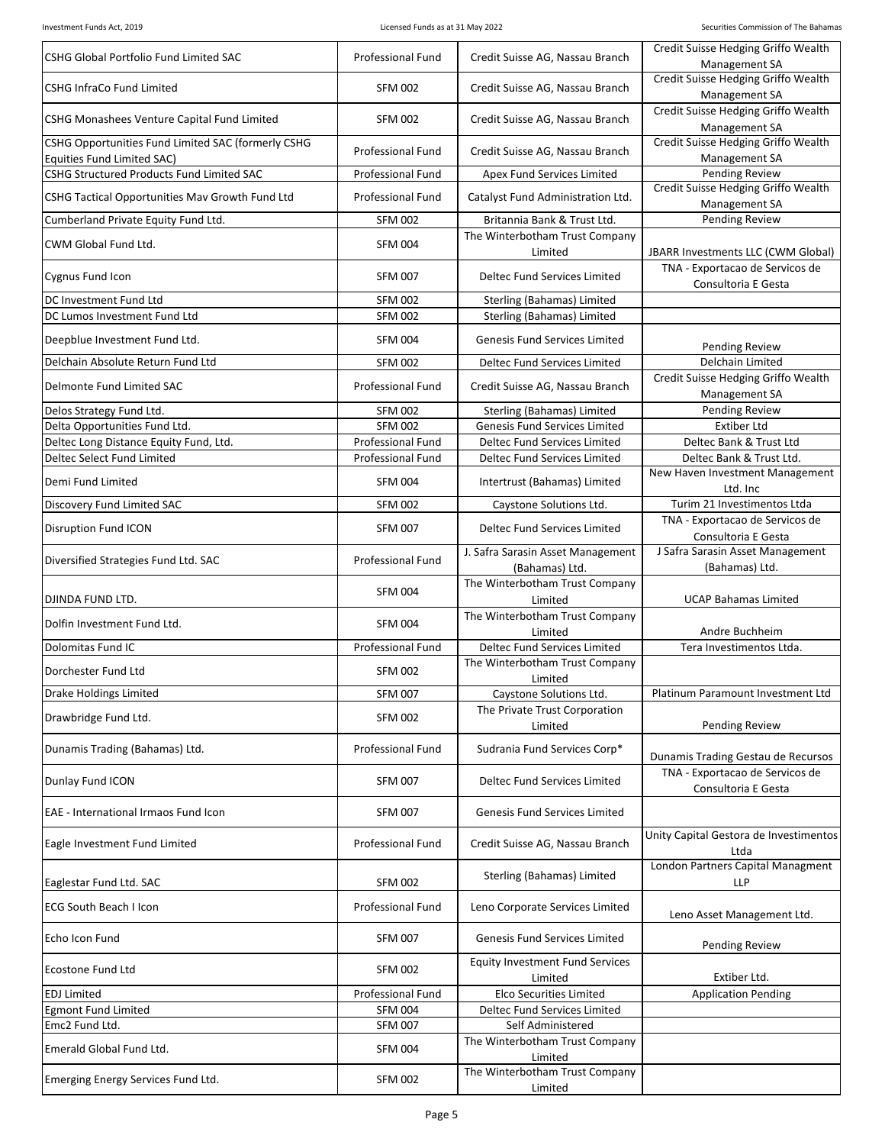| CSHG Global Portfolio Fund Limited SAC                                  | <b>Professional Fund</b> | Credit Suisse AG, Nassau Branch                     | Credit Suisse Hedging Griffo Wealth<br>Management SA   |
|-------------------------------------------------------------------------|--------------------------|-----------------------------------------------------|--------------------------------------------------------|
| <b>CSHG InfraCo Fund Limited</b>                                        | <b>SFM 002</b>           | Credit Suisse AG, Nassau Branch                     | Credit Suisse Hedging Griffo Wealth<br>Management SA   |
| CSHG Monashees Venture Capital Fund Limited                             | <b>SFM 002</b>           | Credit Suisse AG, Nassau Branch                     | Credit Suisse Hedging Griffo Wealth<br>Management SA   |
| CSHG Opportunities Fund Limited SAC (formerly CSHG                      | Professional Fund        | Credit Suisse AG, Nassau Branch                     | Credit Suisse Hedging Griffo Wealth                    |
| Equities Fund Limited SAC)<br>CSHG Structured Products Fund Limited SAC | Professional Fund        | Apex Fund Services Limited                          | Management SA<br><b>Pending Review</b>                 |
|                                                                         |                          |                                                     | Credit Suisse Hedging Griffo Wealth                    |
| CSHG Tactical Opportunities Mav Growth Fund Ltd                         | <b>Professional Fund</b> | Catalyst Fund Administration Ltd.                   | Management SA                                          |
| Cumberland Private Equity Fund Ltd.                                     | <b>SFM 002</b>           | Britannia Bank & Trust Ltd.                         | <b>Pending Review</b>                                  |
| CWM Global Fund Ltd.                                                    | <b>SFM 004</b>           | The Winterbotham Trust Company<br>Limited           | JBARR Investments LLC (CWM Global)                     |
| <b>Cygnus Fund Icon</b>                                                 | <b>SFM 007</b>           | Deltec Fund Services Limited                        | TNA - Exportacao de Servicos de<br>Consultoria E Gesta |
| DC Investment Fund Ltd                                                  | <b>SFM 002</b>           | Sterling (Bahamas) Limited                          |                                                        |
| DC Lumos Investment Fund Ltd                                            | <b>SFM 002</b>           | Sterling (Bahamas) Limited                          |                                                        |
| Deepblue Investment Fund Ltd.                                           | <b>SFM 004</b>           | <b>Genesis Fund Services Limited</b>                | Pending Review                                         |
| Delchain Absolute Return Fund Ltd                                       | <b>SFM 002</b>           | Deltec Fund Services Limited                        | Delchain Limited                                       |
| Delmonte Fund Limited SAC                                               | Professional Fund        | Credit Suisse AG, Nassau Branch                     | Credit Suisse Hedging Griffo Wealth<br>Management SA   |
| Delos Strategy Fund Ltd.                                                | <b>SFM 002</b>           | Sterling (Bahamas) Limited                          | <b>Pending Review</b>                                  |
| Delta Opportunities Fund Ltd.                                           | <b>SFM 002</b>           | Genesis Fund Services Limited                       | <b>Extiber Ltd</b>                                     |
| Deltec Long Distance Equity Fund, Ltd.                                  | Professional Fund        | Deltec Fund Services Limited                        | Deltec Bank & Trust Ltd                                |
| Deltec Select Fund Limited                                              | Professional Fund        | Deltec Fund Services Limited                        | Deltec Bank & Trust Ltd.                               |
| Demi Fund Limited                                                       | <b>SFM 004</b>           | Intertrust (Bahamas) Limited                        | New Haven Investment Management<br>Ltd. Inc            |
| Discovery Fund Limited SAC                                              | <b>SFM 002</b>           | Caystone Solutions Ltd.                             | Turim 21 Investimentos Ltda                            |
| Disruption Fund ICON                                                    | <b>SFM 007</b>           | Deltec Fund Services Limited                        | TNA - Exportacao de Servicos de<br>Consultoria E Gesta |
| Diversified Strategies Fund Ltd. SAC                                    | Professional Fund        | J. Safra Sarasin Asset Management<br>(Bahamas) Ltd. | J Safra Sarasin Asset Management<br>(Bahamas) Ltd.     |
| DJINDA FUND LTD.                                                        | <b>SFM 004</b>           | The Winterbotham Trust Company<br>Limited           | <b>UCAP Bahamas Limited</b>                            |
| Dolfin Investment Fund Ltd.                                             | <b>SFM 004</b>           | The Winterbotham Trust Company<br>Limited           | Andre Buchheim                                         |
| Dolomitas Fund IC                                                       | <b>Professional Fund</b> | <b>Deltec Fund Services Limited</b>                 | Tera Investimentos Ltda.                               |
| Dorchester Fund Ltd                                                     | <b>SFM 002</b>           | The Winterbotham Trust Company<br>Limited           |                                                        |
| Drake Holdings Limited                                                  | <b>SFM 007</b>           | Caystone Solutions Ltd.                             | Platinum Paramount Investment Ltd                      |
| Drawbridge Fund Ltd.                                                    | <b>SFM 002</b>           | The Private Trust Corporation<br>Limited            | <b>Pending Review</b>                                  |
| Dunamis Trading (Bahamas) Ltd.                                          | <b>Professional Fund</b> | Sudrania Fund Services Corp*                        | Dunamis Trading Gestau de Recursos                     |
| Dunlay Fund ICON                                                        | <b>SFM 007</b>           | Deltec Fund Services Limited                        | TNA - Exportacao de Servicos de<br>Consultoria E Gesta |
| EAE - International Irmaos Fund Icon                                    | <b>SFM 007</b>           | Genesis Fund Services Limited                       |                                                        |
| Eagle Investment Fund Limited                                           | <b>Professional Fund</b> | Credit Suisse AG, Nassau Branch                     | Unity Capital Gestora de Investimentos<br>Ltda         |
| Eaglestar Fund Ltd. SAC                                                 | <b>SFM 002</b>           | Sterling (Bahamas) Limited                          | London Partners Capital Managment<br>LLP               |
| <b>ECG South Beach I Icon</b>                                           | Professional Fund        | Leno Corporate Services Limited                     | Leno Asset Management Ltd.                             |
| Echo Icon Fund                                                          | <b>SFM 007</b>           | Genesis Fund Services Limited                       | <b>Pending Review</b>                                  |
| Ecostone Fund Ltd                                                       | <b>SFM 002</b>           | <b>Equity Investment Fund Services</b><br>Limited   | Extiber Ltd.                                           |
| <b>EDJ Limited</b>                                                      | Professional Fund        | <b>Elco Securities Limited</b>                      | <b>Application Pending</b>                             |
| <b>Egmont Fund Limited</b>                                              | <b>SFM 004</b>           | Deltec Fund Services Limited                        |                                                        |
| Emc2 Fund Ltd.                                                          | <b>SFM 007</b>           | Self Administered                                   |                                                        |
| Emerald Global Fund Ltd.                                                | <b>SFM 004</b>           | The Winterbotham Trust Company<br>Limited           |                                                        |
| Emerging Energy Services Fund Ltd.                                      | <b>SFM 002</b>           | The Winterbotham Trust Company<br>Limited           |                                                        |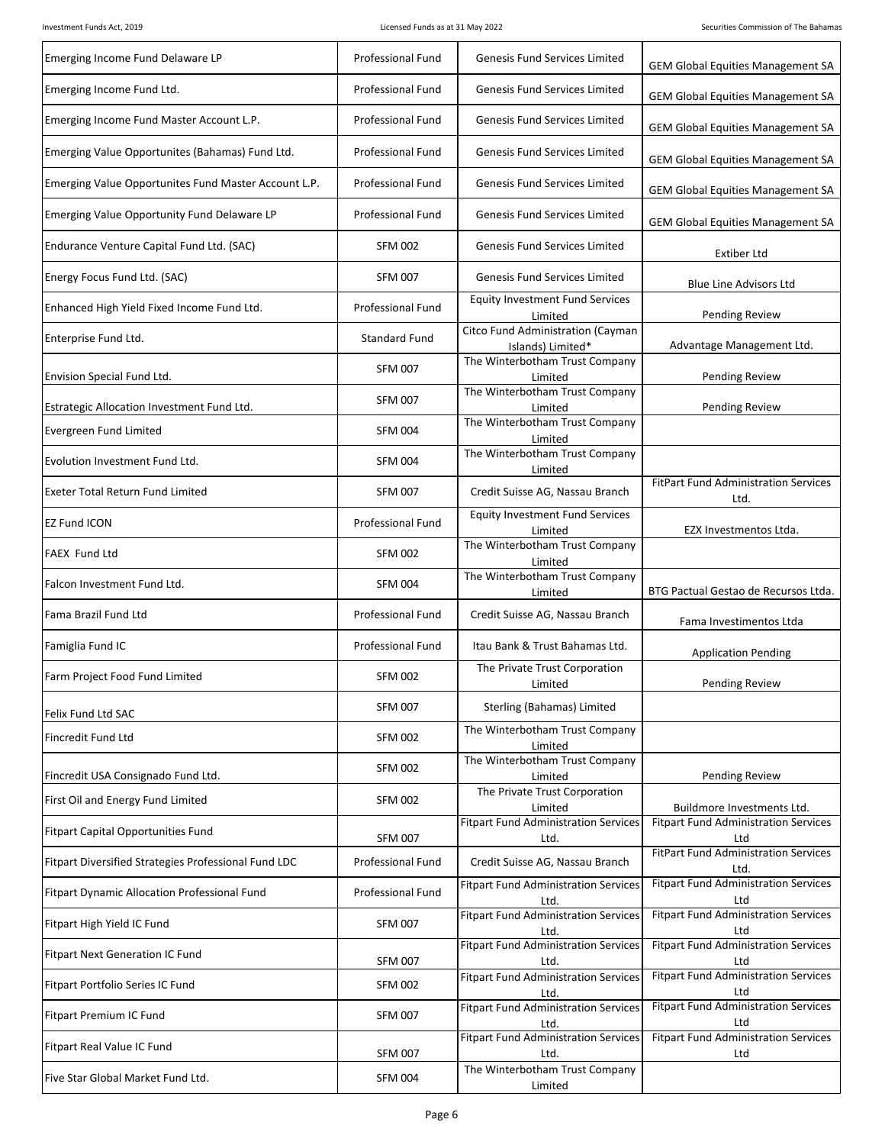| Emerging Income Fund Delaware LP                     | <b>Professional Fund</b> | <b>Genesis Fund Services Limited</b>                   | <b>GEM Global Equities Management SA</b>            |
|------------------------------------------------------|--------------------------|--------------------------------------------------------|-----------------------------------------------------|
| Emerging Income Fund Ltd.                            | <b>Professional Fund</b> | <b>Genesis Fund Services Limited</b>                   | <b>GEM Global Equities Management SA</b>            |
| Emerging Income Fund Master Account L.P.             | <b>Professional Fund</b> | <b>Genesis Fund Services Limited</b>                   | <b>GEM Global Equities Management SA</b>            |
| Emerging Value Opportunites (Bahamas) Fund Ltd.      | <b>Professional Fund</b> | <b>Genesis Fund Services Limited</b>                   | <b>GEM Global Equities Management SA</b>            |
| Emerging Value Opportunites Fund Master Account L.P. | <b>Professional Fund</b> | <b>Genesis Fund Services Limited</b>                   | <b>GEM Global Equities Management SA</b>            |
| Emerging Value Opportunity Fund Delaware LP          | <b>Professional Fund</b> | <b>Genesis Fund Services Limited</b>                   | <b>GEM Global Equities Management SA</b>            |
| Endurance Venture Capital Fund Ltd. (SAC)            | <b>SFM 002</b>           | <b>Genesis Fund Services Limited</b>                   | <b>Extiber Ltd</b>                                  |
| Energy Focus Fund Ltd. (SAC)                         | <b>SFM 007</b>           | <b>Genesis Fund Services Limited</b>                   | <b>Blue Line Advisors Ltd</b>                       |
| Enhanced High Yield Fixed Income Fund Ltd.           | <b>Professional Fund</b> | <b>Equity Investment Fund Services</b><br>Limited      | <b>Pending Review</b>                               |
| Enterprise Fund Ltd.                                 | <b>Standard Fund</b>     | Citco Fund Administration (Cayman<br>Islands) Limited* | Advantage Management Ltd.                           |
| Envision Special Fund Ltd.                           | <b>SFM 007</b>           | The Winterbotham Trust Company<br>Limited              | <b>Pending Review</b>                               |
| Estrategic Allocation Investment Fund Ltd.           | <b>SFM 007</b>           | The Winterbotham Trust Company<br>Limited              | <b>Pending Review</b>                               |
| Evergreen Fund Limited                               | <b>SFM 004</b>           | The Winterbotham Trust Company<br>Limited              |                                                     |
| Evolution Investment Fund Ltd.                       | <b>SFM 004</b>           | The Winterbotham Trust Company<br>Limited              |                                                     |
| Exeter Total Return Fund Limited                     | <b>SFM 007</b>           | Credit Suisse AG, Nassau Branch                        | <b>FitPart Fund Administration Services</b><br>Ltd. |
| <b>EZ Fund ICON</b>                                  | Professional Fund        | <b>Equity Investment Fund Services</b><br>Limited      | EZX Investmentos Ltda.                              |
| FAEX Fund Ltd                                        | <b>SFM 002</b>           | The Winterbotham Trust Company<br>Limited              |                                                     |
| Falcon Investment Fund Ltd.                          | <b>SFM 004</b>           | The Winterbotham Trust Company<br>Limited              | BTG Pactual Gestao de Recursos Ltda.                |
| Fama Brazil Fund Ltd                                 | <b>Professional Fund</b> | Credit Suisse AG, Nassau Branch                        | Fama Investimentos Ltda                             |
| Famiglia Fund IC                                     | <b>Professional Fund</b> | Itau Bank & Trust Bahamas Ltd.                         | <b>Application Pending</b>                          |
| Farm Project Food Fund Limited                       | <b>SFM 002</b>           | The Private Trust Corporation<br>Limited               | Pending Review                                      |
| Felix Fund Ltd SAC                                   | <b>SFM 007</b>           | Sterling (Bahamas) Limited                             |                                                     |
| Fincredit Fund Ltd                                   | <b>SFM 002</b>           | The Winterbotham Trust Company<br>Limited              |                                                     |
| Fincredit USA Consignado Fund Ltd.                   | <b>SFM 002</b>           | The Winterbotham Trust Company<br>Limited              | Pending Review                                      |
| First Oil and Energy Fund Limited                    | <b>SFM 002</b>           | The Private Trust Corporation<br>Limited               | Buildmore Investments Ltd.                          |
| <b>Fitpart Capital Opportunities Fund</b>            | <b>SFM 007</b>           | <b>Fitpart Fund Administration Services</b><br>Ltd.    | <b>Fitpart Fund Administration Services</b><br>Ltd  |
| Fitpart Diversified Strategies Professional Fund LDC | <b>Professional Fund</b> | Credit Suisse AG, Nassau Branch                        | <b>FitPart Fund Administration Services</b><br>Ltd. |
| Fitpart Dynamic Allocation Professional Fund         | Professional Fund        | <b>Fitpart Fund Administration Services</b><br>Ltd.    | <b>Fitpart Fund Administration Services</b><br>Ltd  |
| Fitpart High Yield IC Fund                           | <b>SFM 007</b>           | <b>Fitpart Fund Administration Services</b><br>Ltd.    | <b>Fitpart Fund Administration Services</b><br>Ltd  |
| <b>Fitpart Next Generation IC Fund</b>               | <b>SFM 007</b>           | <b>Fitpart Fund Administration Services</b><br>Ltd.    | <b>Fitpart Fund Administration Services</b><br>Ltd  |
| Fitpart Portfolio Series IC Fund                     | <b>SFM 002</b>           | <b>Fitpart Fund Administration Services</b><br>Ltd.    | <b>Fitpart Fund Administration Services</b><br>Ltd  |
| Fitpart Premium IC Fund                              | <b>SFM 007</b>           | <b>Fitpart Fund Administration Services</b><br>Ltd.    | <b>Fitpart Fund Administration Services</b><br>Ltd  |
| Fitpart Real Value IC Fund                           | <b>SFM 007</b>           | <b>Fitpart Fund Administration Services</b><br>Ltd.    | <b>Fitpart Fund Administration Services</b><br>Ltd  |
| Five Star Global Market Fund Ltd.                    | <b>SFM 004</b>           | The Winterbotham Trust Company<br>Limited              |                                                     |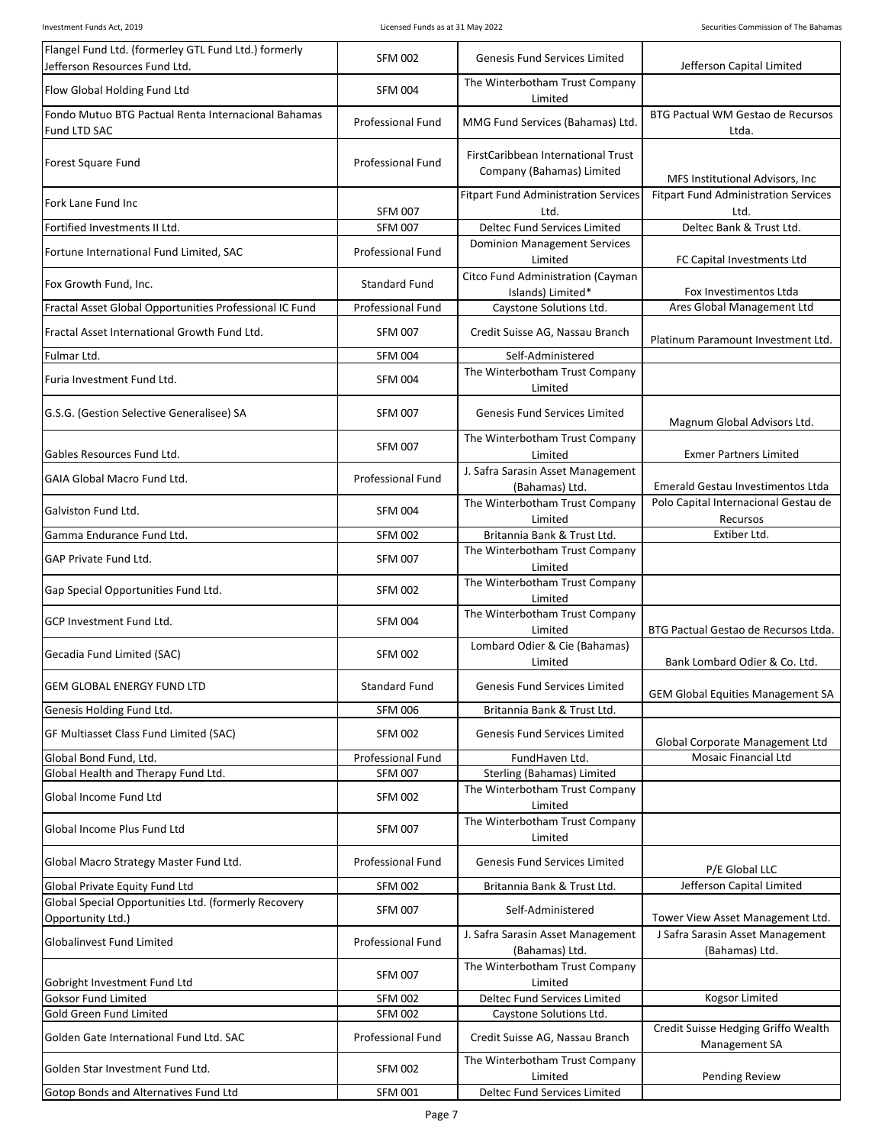| Flangel Fund Ltd. (formerley GTL Fund Ltd.) formerly<br>Jefferson Resources Fund Ltd. | <b>SFM 002</b>           | Genesis Fund Services Limited                                   | Jefferson Capital Limited                            |
|---------------------------------------------------------------------------------------|--------------------------|-----------------------------------------------------------------|------------------------------------------------------|
| Flow Global Holding Fund Ltd                                                          | <b>SFM 004</b>           | The Winterbotham Trust Company<br>Limited                       |                                                      |
| Fondo Mutuo BTG Pactual Renta Internacional Bahamas<br>Fund LTD SAC                   | <b>Professional Fund</b> | MMG Fund Services (Bahamas) Ltd.                                | BTG Pactual WM Gestao de Recursos<br>Ltda.           |
| Forest Square Fund                                                                    | <b>Professional Fund</b> | FirstCaribbean International Trust<br>Company (Bahamas) Limited | MFS Institutional Advisors, Inc.                     |
| Fork Lane Fund Inc                                                                    | <b>SFM 007</b>           | <b>Fitpart Fund Administration Services</b><br>Ltd.             | <b>Fitpart Fund Administration Services</b><br>Ltd.  |
| Fortified Investments II Ltd.                                                         | <b>SFM 007</b>           | Deltec Fund Services Limited                                    | Deltec Bank & Trust Ltd.                             |
| Fortune International Fund Limited, SAC                                               | <b>Professional Fund</b> | <b>Dominion Management Services</b><br>Limited                  | FC Capital Investments Ltd                           |
| Fox Growth Fund, Inc.                                                                 | <b>Standard Fund</b>     | Citco Fund Administration (Cayman<br>Islands) Limited*          | Fox Investimentos Ltda                               |
| Fractal Asset Global Opportunities Professional IC Fund                               | <b>Professional Fund</b> | Caystone Solutions Ltd.                                         | Ares Global Management Ltd                           |
| Fractal Asset International Growth Fund Ltd.                                          | <b>SFM 007</b>           | Credit Suisse AG, Nassau Branch                                 | Platinum Paramount Investment Ltd.                   |
| Fulmar Ltd.                                                                           | <b>SFM 004</b>           | Self-Administered                                               |                                                      |
| Furia Investment Fund Ltd.                                                            | <b>SFM 004</b>           | The Winterbotham Trust Company<br>Limited                       |                                                      |
| G.S.G. (Gestion Selective Generalisee) SA                                             | <b>SFM 007</b>           | <b>Genesis Fund Services Limited</b>                            | Magnum Global Advisors Ltd.                          |
| Gables Resources Fund Ltd.                                                            | <b>SFM 007</b>           | The Winterbotham Trust Company<br>Limited                       | <b>Exmer Partners Limited</b>                        |
| GAIA Global Macro Fund Ltd.                                                           | <b>Professional Fund</b> | J. Safra Sarasin Asset Management<br>(Bahamas) Ltd.             | Emerald Gestau Investimentos Ltda                    |
| Galviston Fund Ltd.                                                                   | <b>SFM 004</b>           | The Winterbotham Trust Company<br>Limited                       | Polo Capital Internacional Gestau de<br>Recursos     |
| Gamma Endurance Fund Ltd.                                                             | <b>SFM 002</b>           | Britannia Bank & Trust Ltd.                                     | Extiber Ltd.                                         |
| GAP Private Fund Ltd.                                                                 | <b>SFM 007</b>           | The Winterbotham Trust Company<br>Limited                       |                                                      |
| Gap Special Opportunities Fund Ltd.                                                   | <b>SFM 002</b>           | The Winterbotham Trust Company<br>Limited                       |                                                      |
| GCP Investment Fund Ltd.                                                              | <b>SFM 004</b>           | The Winterbotham Trust Company<br>Limited                       | BTG Pactual Gestao de Recursos Ltda.                 |
| Gecadia Fund Limited (SAC)                                                            | <b>SFM 002</b>           | Lombard Odier & Cie (Bahamas)<br>Limited                        | Bank Lombard Odier & Co. Ltd.                        |
| GEM GLOBAL ENERGY FUND LTD                                                            | <b>Standard Fund</b>     | Genesis Fund Services Limited                                   | <b>GEM Global Equities Management SA</b>             |
| Genesis Holding Fund Ltd.                                                             | <b>SFM 006</b>           | Britannia Bank & Trust Ltd.                                     |                                                      |
| GF Multiasset Class Fund Limited (SAC)                                                | <b>SFM 002</b>           | <b>Genesis Fund Services Limited</b>                            | Global Corporate Management Ltd                      |
| Global Bond Fund, Ltd.                                                                | <b>Professional Fund</b> | FundHaven Ltd.                                                  | <b>Mosaic Financial Ltd</b>                          |
| Global Health and Therapy Fund Ltd.                                                   | <b>SFM 007</b>           | Sterling (Bahamas) Limited                                      |                                                      |
| Global Income Fund Ltd                                                                | <b>SFM 002</b>           | The Winterbotham Trust Company<br>Limited                       |                                                      |
| Global Income Plus Fund Ltd                                                           | <b>SFM 007</b>           | The Winterbotham Trust Company<br>Limited                       |                                                      |
| Global Macro Strategy Master Fund Ltd.                                                | <b>Professional Fund</b> | Genesis Fund Services Limited                                   | P/E Global LLC                                       |
| Global Private Equity Fund Ltd                                                        | <b>SFM 002</b>           | Britannia Bank & Trust Ltd.                                     | Jefferson Capital Limited                            |
| Global Special Opportunities Ltd. (formerly Recovery<br>Opportunity Ltd.)             | <b>SFM 007</b>           | Self-Administered                                               | Tower View Asset Management Ltd.                     |
| Globalinvest Fund Limited                                                             | <b>Professional Fund</b> | J. Safra Sarasin Asset Management<br>(Bahamas) Ltd.             | J Safra Sarasin Asset Management<br>(Bahamas) Ltd.   |
| Gobright Investment Fund Ltd                                                          | <b>SFM 007</b>           | The Winterbotham Trust Company<br>Limited                       |                                                      |
| Goksor Fund Limited                                                                   | <b>SFM 002</b>           | Deltec Fund Services Limited                                    | <b>Kogsor Limited</b>                                |
| Gold Green Fund Limited                                                               | <b>SFM 002</b>           | Caystone Solutions Ltd.                                         |                                                      |
| Golden Gate International Fund Ltd. SAC                                               | <b>Professional Fund</b> | Credit Suisse AG, Nassau Branch                                 | Credit Suisse Hedging Griffo Wealth<br>Management SA |
| Golden Star Investment Fund Ltd.                                                      | <b>SFM 002</b>           | The Winterbotham Trust Company<br>Limited                       | Pending Review                                       |
| Gotop Bonds and Alternatives Fund Ltd                                                 | <b>SFM 001</b>           | Deltec Fund Services Limited                                    |                                                      |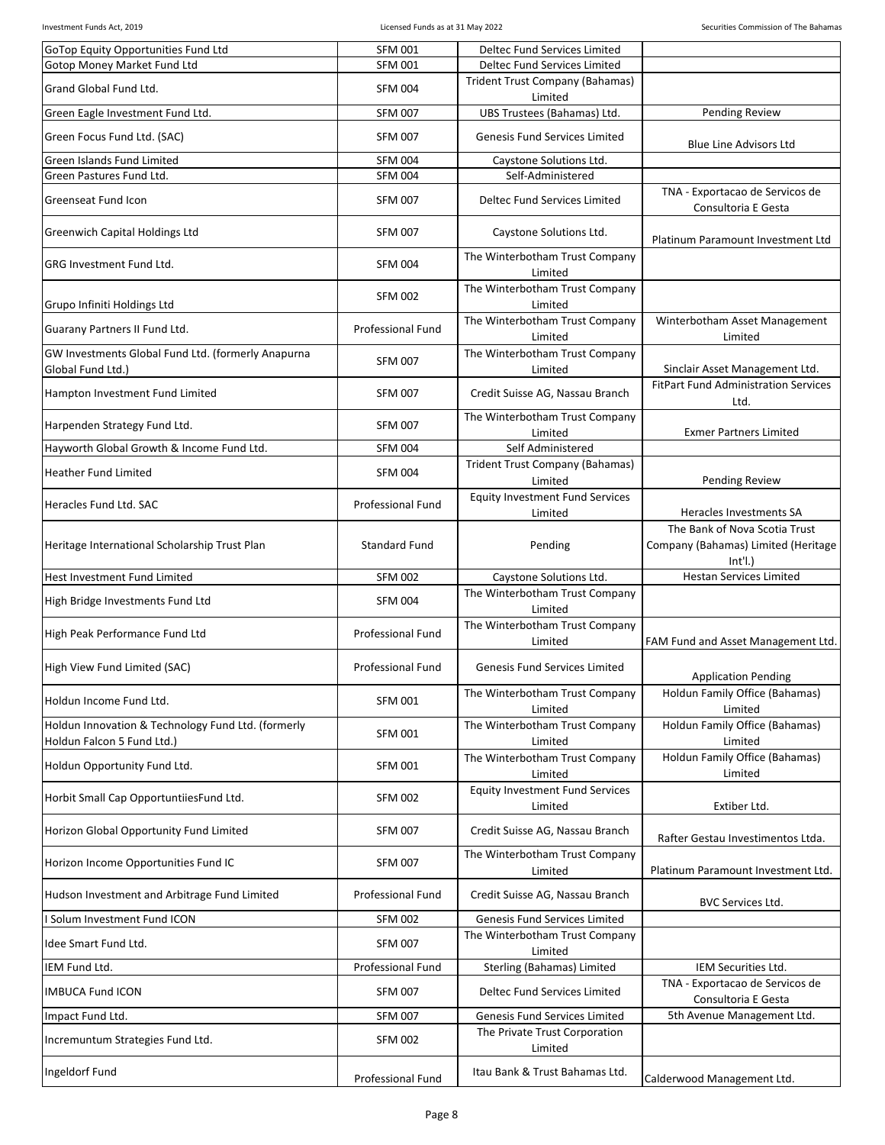| GoTop Equity Opportunities Fund Ltd                                              | <b>SFM 001</b>           | Deltec Fund Services Limited                      |                                                                                 |
|----------------------------------------------------------------------------------|--------------------------|---------------------------------------------------|---------------------------------------------------------------------------------|
| <b>Gotop Money Market Fund Ltd</b>                                               | <b>SFM 001</b>           | Deltec Fund Services Limited                      |                                                                                 |
| Grand Global Fund Ltd.                                                           | <b>SFM 004</b>           | Trident Trust Company (Bahamas)<br>Limited        |                                                                                 |
| Green Eagle Investment Fund Ltd.                                                 | <b>SFM 007</b>           | UBS Trustees (Bahamas) Ltd.                       | <b>Pending Review</b>                                                           |
| Green Focus Fund Ltd. (SAC)                                                      | <b>SFM 007</b>           | <b>Genesis Fund Services Limited</b>              | <b>Blue Line Advisors Ltd</b>                                                   |
| Green Islands Fund Limited                                                       | <b>SFM 004</b>           | Caystone Solutions Ltd.                           |                                                                                 |
| Green Pastures Fund Ltd.                                                         | <b>SFM 004</b>           | Self-Administered                                 |                                                                                 |
| Greenseat Fund Icon                                                              | <b>SFM 007</b>           | Deltec Fund Services Limited                      | TNA - Exportacao de Servicos de<br>Consultoria E Gesta                          |
| Greenwich Capital Holdings Ltd                                                   | <b>SFM 007</b>           | Caystone Solutions Ltd.                           | Platinum Paramount Investment Ltd                                               |
| GRG Investment Fund Ltd.                                                         | <b>SFM 004</b>           | The Winterbotham Trust Company<br>Limited         |                                                                                 |
| Grupo Infiniti Holdings Ltd                                                      | <b>SFM 002</b>           | The Winterbotham Trust Company<br>Limited         |                                                                                 |
| Guarany Partners II Fund Ltd.                                                    | <b>Professional Fund</b> | The Winterbotham Trust Company<br>Limited         | Winterbotham Asset Management<br>Limited                                        |
| GW Investments Global Fund Ltd. (formerly Anapurna<br>Global Fund Ltd.)          | <b>SFM 007</b>           | The Winterbotham Trust Company<br>Limited         | Sinclair Asset Management Ltd.                                                  |
| Hampton Investment Fund Limited                                                  | <b>SFM 007</b>           | Credit Suisse AG, Nassau Branch                   | <b>FitPart Fund Administration Services</b><br>Ltd.                             |
| Harpenden Strategy Fund Ltd.                                                     | <b>SFM 007</b>           | The Winterbotham Trust Company<br>Limited         | <b>Exmer Partners Limited</b>                                                   |
| Hayworth Global Growth & Income Fund Ltd.                                        | <b>SFM 004</b>           | Self Administered                                 |                                                                                 |
| <b>Heather Fund Limited</b>                                                      | <b>SFM 004</b>           | Trident Trust Company (Bahamas)                   |                                                                                 |
|                                                                                  |                          | Limited                                           | <b>Pending Review</b>                                                           |
| Heracles Fund Ltd. SAC                                                           | <b>Professional Fund</b> | <b>Equity Investment Fund Services</b><br>Limited | Heracles Investments SA                                                         |
| Heritage International Scholarship Trust Plan                                    | <b>Standard Fund</b>     | Pending                                           | The Bank of Nova Scotia Trust<br>Company (Bahamas) Limited (Heritage<br>Int'I.) |
| Hest Investment Fund Limited                                                     | <b>SFM 002</b>           | Caystone Solutions Ltd.                           | <b>Hestan Services Limited</b>                                                  |
| High Bridge Investments Fund Ltd                                                 | <b>SFM 004</b>           | The Winterbotham Trust Company<br>Limited         |                                                                                 |
| High Peak Performance Fund Ltd                                                   | <b>Professional Fund</b> | The Winterbotham Trust Company<br>Limited         | FAM Fund and Asset Management Ltd.                                              |
| High View Fund Limited (SAC)                                                     | <b>Professional Fund</b> | Genesis Fund Services Limited                     | <b>Application Pending</b>                                                      |
| Holdun Income Fund Ltd.                                                          | <b>SFM 001</b>           | The Winterbotham Trust Company<br>Limited         | Holdun Family Office (Bahamas)<br>Limited                                       |
| Holdun Innovation & Technology Fund Ltd. (formerly<br>Holdun Falcon 5 Fund Ltd.) | <b>SFM 001</b>           | The Winterbotham Trust Company<br>Limited         | Holdun Family Office (Bahamas)<br>Limited                                       |
| Holdun Opportunity Fund Ltd.                                                     | <b>SFM 001</b>           | The Winterbotham Trust Company<br>Limited         | Holdun Family Office (Bahamas)<br>Limited                                       |
| Horbit Small Cap OpportuntiiesFund Ltd.                                          | <b>SFM 002</b>           | <b>Equity Investment Fund Services</b><br>Limited | Extiber Ltd.                                                                    |
| Horizon Global Opportunity Fund Limited                                          | <b>SFM 007</b>           | Credit Suisse AG, Nassau Branch                   | Rafter Gestau Investimentos Ltda.                                               |
| Horizon Income Opportunities Fund IC                                             | <b>SFM 007</b>           | The Winterbotham Trust Company<br>Limited         | Platinum Paramount Investment Ltd.                                              |
| Hudson Investment and Arbitrage Fund Limited                                     | <b>Professional Fund</b> | Credit Suisse AG, Nassau Branch                   | BVC Services Ltd.                                                               |
| Solum Investment Fund ICON                                                       | <b>SFM 002</b>           | Genesis Fund Services Limited                     |                                                                                 |
| Idee Smart Fund Ltd.                                                             | <b>SFM 007</b>           | The Winterbotham Trust Company<br>Limited         |                                                                                 |
| IEM Fund Ltd.                                                                    | <b>Professional Fund</b> | Sterling (Bahamas) Limited                        | IEM Securities Ltd.                                                             |
| <b>IMBUCA Fund ICON</b>                                                          | <b>SFM 007</b>           | Deltec Fund Services Limited                      | TNA - Exportacao de Servicos de<br>Consultoria E Gesta                          |
| Impact Fund Ltd.                                                                 | <b>SFM 007</b>           | Genesis Fund Services Limited                     | 5th Avenue Management Ltd.                                                      |
| Incremuntum Strategies Fund Ltd.                                                 | <b>SFM 002</b>           | The Private Trust Corporation<br>Limited          |                                                                                 |
| Ingeldorf Fund                                                                   | Professional Fund        | Itau Bank & Trust Bahamas Ltd.                    | Calderwood Management Ltd.                                                      |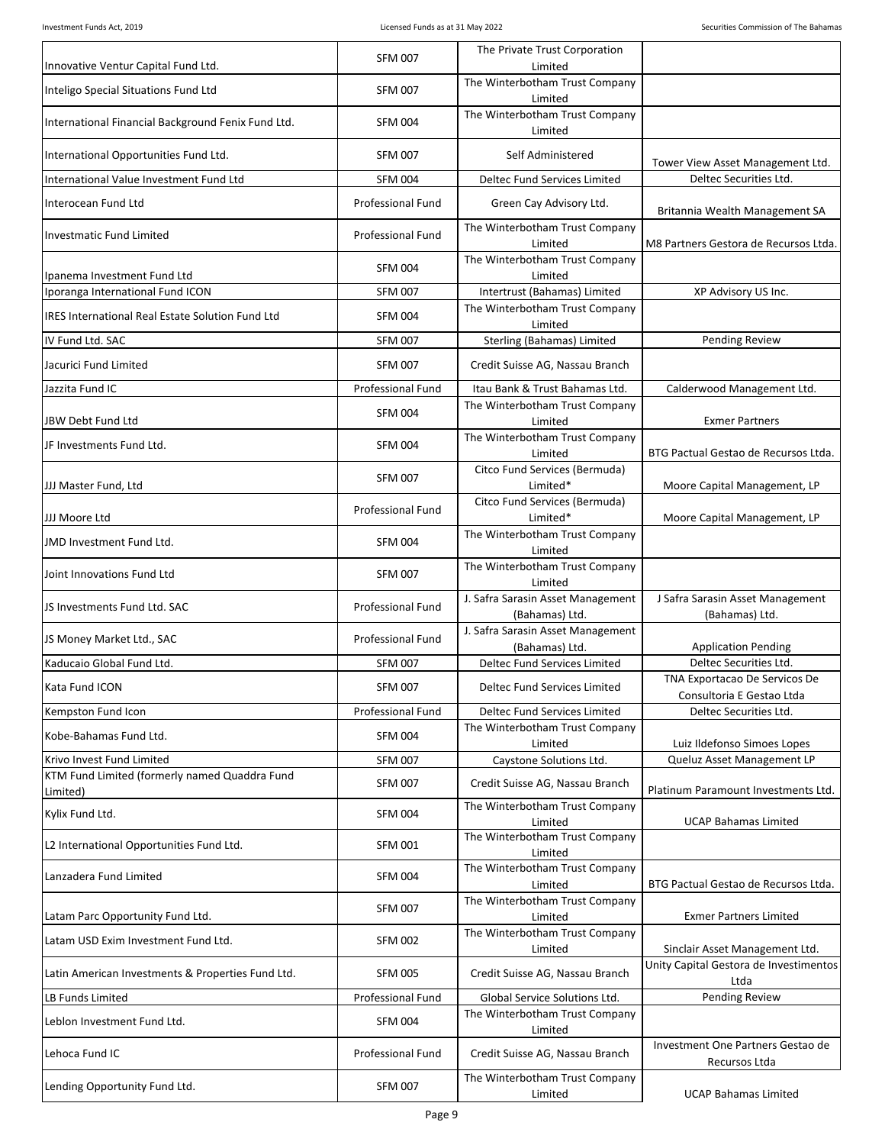| Innovative Ventur Capital Fund Ltd.                     | <b>SFM 007</b>           | The Private Trust Corporation<br>Limited            |                                                            |
|---------------------------------------------------------|--------------------------|-----------------------------------------------------|------------------------------------------------------------|
| Inteligo Special Situations Fund Ltd                    | <b>SFM 007</b>           | The Winterbotham Trust Company<br>Limited           |                                                            |
| International Financial Background Fenix Fund Ltd.      | <b>SFM 004</b>           | The Winterbotham Trust Company<br>Limited           |                                                            |
| International Opportunities Fund Ltd.                   | <b>SFM 007</b>           | Self Administered                                   | Tower View Asset Management Ltd.                           |
| International Value Investment Fund Ltd                 | <b>SFM 004</b>           | Deltec Fund Services Limited                        | Deltec Securities Ltd.                                     |
| Interocean Fund Ltd                                     | <b>Professional Fund</b> | Green Cay Advisory Ltd.                             | Britannia Wealth Management SA                             |
| Investmatic Fund Limited                                | <b>Professional Fund</b> | The Winterbotham Trust Company<br>Limited           | M8 Partners Gestora de Recursos Ltda.                      |
| Ipanema Investment Fund Ltd                             | <b>SFM 004</b>           | The Winterbotham Trust Company<br>Limited           |                                                            |
| Iporanga International Fund ICON                        | <b>SFM 007</b>           | Intertrust (Bahamas) Limited                        | XP Advisory US Inc.                                        |
| <b>IRES International Real Estate Solution Fund Ltd</b> | <b>SFM 004</b>           | The Winterbotham Trust Company<br>Limited           |                                                            |
| IV Fund Ltd. SAC                                        | <b>SFM 007</b>           | Sterling (Bahamas) Limited                          | <b>Pending Review</b>                                      |
| Jacurici Fund Limited                                   | <b>SFM 007</b>           | Credit Suisse AG, Nassau Branch                     |                                                            |
| Jazzita Fund IC                                         | <b>Professional Fund</b> | Itau Bank & Trust Bahamas Ltd.                      | Calderwood Management Ltd.                                 |
| JBW Debt Fund Ltd                                       | <b>SFM 004</b>           | The Winterbotham Trust Company<br>Limited           | <b>Exmer Partners</b>                                      |
| JF Investments Fund Ltd.                                | <b>SFM 004</b>           | The Winterbotham Trust Company<br>Limited           | BTG Pactual Gestao de Recursos Ltda.                       |
|                                                         |                          | Citco Fund Services (Bermuda)                       |                                                            |
| JJJ Master Fund, Ltd                                    | <b>SFM 007</b>           | Limited*                                            | Moore Capital Management, LP                               |
| JJJ Moore Ltd                                           | <b>Professional Fund</b> | Citco Fund Services (Bermuda)<br>Limited*           | Moore Capital Management, LP                               |
| JMD Investment Fund Ltd.                                | <b>SFM 004</b>           | The Winterbotham Trust Company<br>Limited           |                                                            |
| Joint Innovations Fund Ltd                              | <b>SFM 007</b>           | The Winterbotham Trust Company<br>Limited           |                                                            |
| JS Investments Fund Ltd. SAC                            | <b>Professional Fund</b> | J. Safra Sarasin Asset Management<br>(Bahamas) Ltd. | J Safra Sarasin Asset Management<br>(Bahamas) Ltd.         |
| JS Money Market Ltd., SAC                               | <b>Professional Fund</b> | J. Safra Sarasin Asset Management<br>(Bahamas) Ltd. | <b>Application Pending</b>                                 |
| Kaducaio Global Fund Ltd.                               | <b>SFM 007</b>           | Deltec Fund Services Limited                        | Deltec Securities Ltd.                                     |
| Kata Fund ICON                                          | <b>SFM 007</b>           | Deltec Fund Services Limited                        | TNA Exportacao De Servicos De<br>Consultoria E Gestao Ltda |
| Kempston Fund Icon                                      | <b>Professional Fund</b> | <b>Deltec Fund Services Limited</b>                 | Deltec Securities Ltd.                                     |
| Kobe-Bahamas Fund Ltd.                                  | <b>SFM 004</b>           | The Winterbotham Trust Company                      |                                                            |
| Krivo Invest Fund Limited                               | <b>SFM 007</b>           | Limited<br>Caystone Solutions Ltd.                  | Luiz Ildefonso Simoes Lopes<br>Queluz Asset Management LP  |
| KTM Fund Limited (formerly named Quaddra Fund           | <b>SFM 007</b>           | Credit Suisse AG, Nassau Branch                     | Platinum Paramount Investments Ltd.                        |
| Limited)<br>Kylix Fund Ltd.                             | <b>SFM 004</b>           | The Winterbotham Trust Company<br>Limited           | <b>UCAP Bahamas Limited</b>                                |
| L2 International Opportunities Fund Ltd.                | <b>SFM 001</b>           | The Winterbotham Trust Company<br>Limited           |                                                            |
| Lanzadera Fund Limited                                  | <b>SFM 004</b>           | The Winterbotham Trust Company<br>Limited           | BTG Pactual Gestao de Recursos Ltda.                       |
| Latam Parc Opportunity Fund Ltd.                        | <b>SFM 007</b>           | The Winterbotham Trust Company<br>Limited           | <b>Exmer Partners Limited</b>                              |
| Latam USD Exim Investment Fund Ltd.                     | <b>SFM 002</b>           | The Winterbotham Trust Company<br>Limited           | Sinclair Asset Management Ltd.                             |
| Latin American Investments & Properties Fund Ltd.       | <b>SFM 005</b>           | Credit Suisse AG, Nassau Branch                     | Unity Capital Gestora de Investimentos<br>Ltda             |
| LB Funds Limited                                        | Professional Fund        | Global Service Solutions Ltd.                       | <b>Pending Review</b>                                      |
| Leblon Investment Fund Ltd.                             | <b>SFM 004</b>           | The Winterbotham Trust Company<br>Limited           |                                                            |
| Lehoca Fund IC                                          | <b>Professional Fund</b> | Credit Suisse AG, Nassau Branch                     | Investment One Partners Gestao de<br>Recursos Ltda         |
| Lending Opportunity Fund Ltd.                           | <b>SFM 007</b>           | The Winterbotham Trust Company<br>Limited           | <b>UCAP Bahamas Limited</b>                                |

Page 9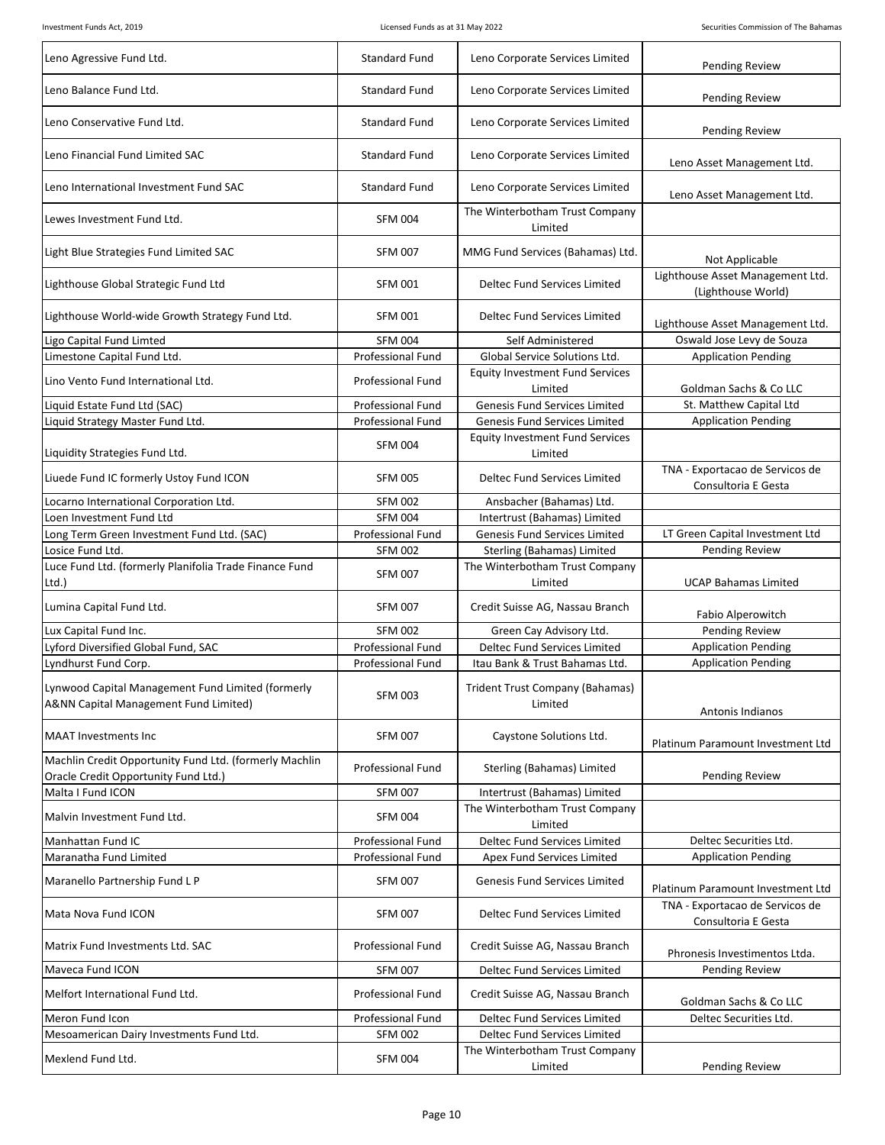| Leno Agressive Fund Ltd.                                                                       | <b>Standard Fund</b>     | Leno Corporate Services Limited                   | <b>Pending Review</b>                                  |
|------------------------------------------------------------------------------------------------|--------------------------|---------------------------------------------------|--------------------------------------------------------|
| Leno Balance Fund Ltd.                                                                         | <b>Standard Fund</b>     | Leno Corporate Services Limited                   | <b>Pending Review</b>                                  |
| Leno Conservative Fund Ltd.                                                                    | <b>Standard Fund</b>     | Leno Corporate Services Limited                   | <b>Pending Review</b>                                  |
| Leno Financial Fund Limited SAC                                                                | <b>Standard Fund</b>     | Leno Corporate Services Limited                   | Leno Asset Management Ltd.                             |
| Leno International Investment Fund SAC                                                         | <b>Standard Fund</b>     | Leno Corporate Services Limited                   | Leno Asset Management Ltd.                             |
| Lewes Investment Fund Ltd.                                                                     | <b>SFM 004</b>           | The Winterbotham Trust Company<br>Limited         |                                                        |
| Light Blue Strategies Fund Limited SAC                                                         | <b>SFM 007</b>           | MMG Fund Services (Bahamas) Ltd.                  | Not Applicable                                         |
| Lighthouse Global Strategic Fund Ltd                                                           | <b>SFM 001</b>           | Deltec Fund Services Limited                      | Lighthouse Asset Management Ltd.<br>(Lighthouse World) |
| Lighthouse World-wide Growth Strategy Fund Ltd.                                                | <b>SFM 001</b>           | Deltec Fund Services Limited                      | Lighthouse Asset Management Ltd.                       |
| Ligo Capital Fund Limted                                                                       | <b>SFM 004</b>           | Self Administered                                 | Oswald Jose Levy de Souza                              |
| Limestone Capital Fund Ltd.                                                                    | <b>Professional Fund</b> | Global Service Solutions Ltd.                     | <b>Application Pending</b>                             |
|                                                                                                |                          | <b>Equity Investment Fund Services</b>            |                                                        |
| Lino Vento Fund International Ltd.                                                             | Professional Fund        | Limited                                           | Goldman Sachs & Co LLC                                 |
| Liquid Estate Fund Ltd (SAC)                                                                   | <b>Professional Fund</b> | Genesis Fund Services Limited                     | St. Matthew Capital Ltd                                |
|                                                                                                | Professional Fund        | <b>Genesis Fund Services Limited</b>              |                                                        |
| Liquid Strategy Master Fund Ltd.                                                               |                          |                                                   | <b>Application Pending</b>                             |
| Liquidity Strategies Fund Ltd.                                                                 | <b>SFM 004</b>           | <b>Equity Investment Fund Services</b><br>Limited |                                                        |
| Liuede Fund IC formerly Ustoy Fund ICON                                                        | <b>SFM 005</b>           | Deltec Fund Services Limited                      | TNA - Exportacao de Servicos de<br>Consultoria E Gesta |
| Locarno International Corporation Ltd.                                                         | <b>SFM 002</b>           | Ansbacher (Bahamas) Ltd.                          |                                                        |
| Loen Investment Fund Ltd                                                                       | <b>SFM 004</b>           | Intertrust (Bahamas) Limited                      |                                                        |
| Long Term Green Investment Fund Ltd. (SAC)                                                     | Professional Fund        | Genesis Fund Services Limited                     | LT Green Capital Investment Ltd                        |
| Losice Fund Ltd.                                                                               | <b>SFM 002</b>           | Sterling (Bahamas) Limited                        | Pending Review                                         |
| Luce Fund Ltd. (formerly Planifolia Trade Finance Fund<br>Ltd.)                                | <b>SFM 007</b>           | The Winterbotham Trust Company<br>Limited         | <b>UCAP Bahamas Limited</b>                            |
| Lumina Capital Fund Ltd.                                                                       | <b>SFM 007</b>           | Credit Suisse AG, Nassau Branch                   | Fabio Alperowitch                                      |
| Lux Capital Fund Inc.                                                                          | <b>SFM 002</b>           | Green Cay Advisory Ltd.                           | Pending Review                                         |
| Lyford Diversified Global Fund, SAC                                                            | Professional Fund        | Deltec Fund Services Limited                      | <b>Application Pending</b>                             |
| Lyndhurst Fund Corp.                                                                           | <b>Professional Fund</b> | Itau Bank & Trust Bahamas Ltd.                    | <b>Application Pending</b>                             |
| Lynwood Capital Management Fund Limited (formerly<br>A&NN Capital Management Fund Limited)     | <b>SFM 003</b>           | Trident Trust Company (Bahamas)<br>Limited        | Antonis Indianos                                       |
| <b>MAAT Investments Inc</b>                                                                    | <b>SFM 007</b>           | Caystone Solutions Ltd.                           | Platinum Paramount Investment Ltd                      |
| Machlin Credit Opportunity Fund Ltd. (formerly Machlin<br>Oracle Credit Opportunity Fund Ltd.) | Professional Fund        | Sterling (Bahamas) Limited                        | Pending Review                                         |
| Malta I Fund ICON                                                                              | <b>SFM 007</b>           | Intertrust (Bahamas) Limited                      |                                                        |
| Malvin Investment Fund Ltd.                                                                    | <b>SFM 004</b>           | The Winterbotham Trust Company<br>Limited         |                                                        |
| Manhattan Fund IC                                                                              | Professional Fund        | Deltec Fund Services Limited                      | Deltec Securities Ltd.                                 |
| Maranatha Fund Limited                                                                         | <b>Professional Fund</b> | Apex Fund Services Limited                        | <b>Application Pending</b>                             |
|                                                                                                |                          |                                                   |                                                        |
| Maranello Partnership Fund L P                                                                 | <b>SFM 007</b>           | <b>Genesis Fund Services Limited</b>              | Platinum Paramount Investment Ltd                      |
| Mata Nova Fund ICON                                                                            | <b>SFM 007</b>           | Deltec Fund Services Limited                      | TNA - Exportacao de Servicos de<br>Consultoria E Gesta |
| Matrix Fund Investments Ltd. SAC                                                               | Professional Fund        | Credit Suisse AG, Nassau Branch                   | Phronesis Investimentos Ltda.                          |
| Maveca Fund ICON                                                                               | <b>SFM 007</b>           | Deltec Fund Services Limited                      | Pending Review                                         |
| Melfort International Fund Ltd.                                                                | Professional Fund        | Credit Suisse AG, Nassau Branch                   | Goldman Sachs & Co LLC                                 |
| Meron Fund Icon                                                                                | Professional Fund        | Deltec Fund Services Limited                      | Deltec Securities Ltd.                                 |
| Mesoamerican Dairy Investments Fund Ltd.                                                       | <b>SFM 002</b>           | Deltec Fund Services Limited                      |                                                        |
|                                                                                                |                          | The Winterbotham Trust Company                    |                                                        |
| Mexlend Fund Ltd.                                                                              | <b>SFM 004</b>           | Limited                                           | Pending Review                                         |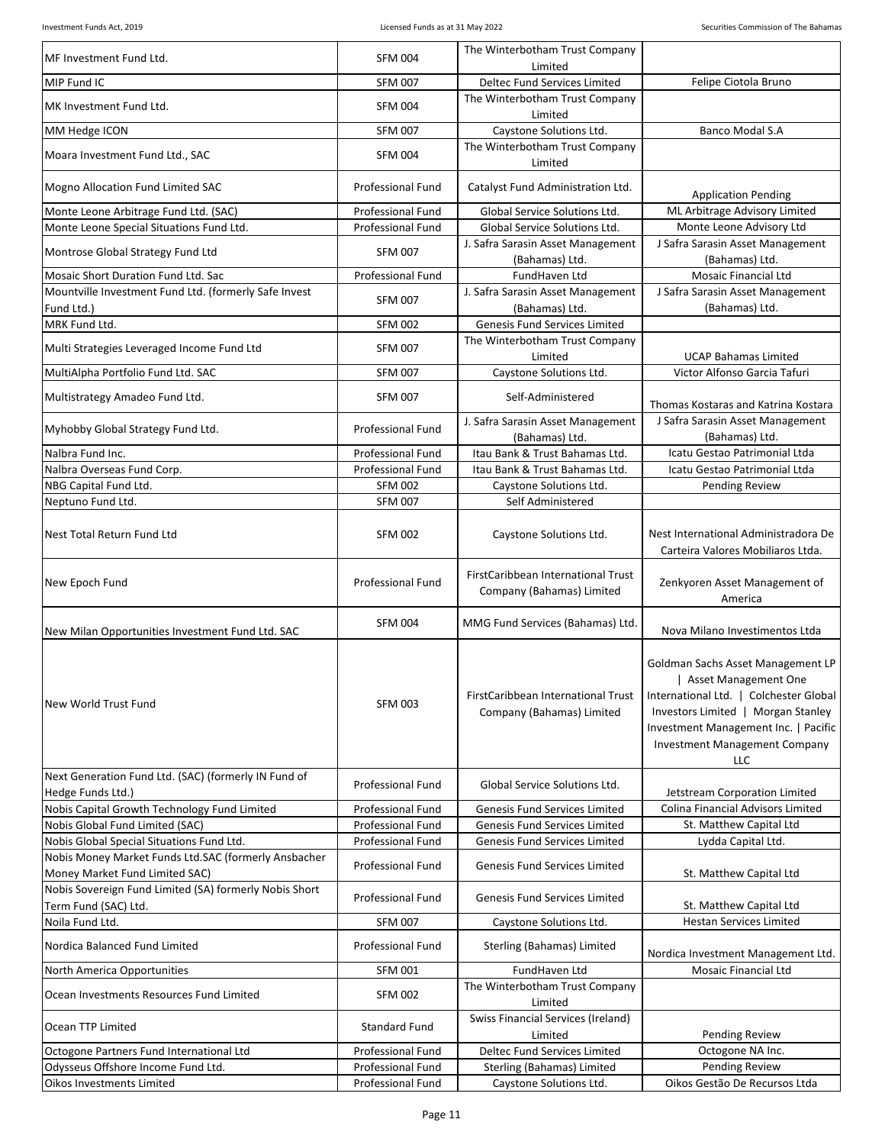| MF Investment Fund Ltd.                                                                | <b>SFM 004</b>           | The Winterbotham Trust Company                                  |                                                                                                                                                                                                                                  |
|----------------------------------------------------------------------------------------|--------------------------|-----------------------------------------------------------------|----------------------------------------------------------------------------------------------------------------------------------------------------------------------------------------------------------------------------------|
| MIP Fund IC                                                                            | <b>SFM 007</b>           | Limited<br>Deltec Fund Services Limited                         | Felipe Ciotola Bruno                                                                                                                                                                                                             |
|                                                                                        |                          | The Winterbotham Trust Company                                  |                                                                                                                                                                                                                                  |
| MK Investment Fund Ltd.                                                                | <b>SFM 004</b>           | Limited                                                         |                                                                                                                                                                                                                                  |
| MM Hedge ICON                                                                          | <b>SFM 007</b>           | Caystone Solutions Ltd.                                         | <b>Banco Modal S.A</b>                                                                                                                                                                                                           |
| Moara Investment Fund Ltd., SAC                                                        | <b>SFM 004</b>           | The Winterbotham Trust Company<br>Limited                       |                                                                                                                                                                                                                                  |
| Mogno Allocation Fund Limited SAC                                                      | <b>Professional Fund</b> | Catalyst Fund Administration Ltd.                               | <b>Application Pending</b>                                                                                                                                                                                                       |
| Monte Leone Arbitrage Fund Ltd. (SAC)                                                  | Professional Fund        | Global Service Solutions Ltd.                                   | ML Arbitrage Advisory Limited                                                                                                                                                                                                    |
| Monte Leone Special Situations Fund Ltd.                                               | <b>Professional Fund</b> | Global Service Solutions Ltd.                                   | Monte Leone Advisory Ltd                                                                                                                                                                                                         |
| Montrose Global Strategy Fund Ltd                                                      | <b>SFM 007</b>           | J. Safra Sarasin Asset Management<br>(Bahamas) Ltd.             | J Safra Sarasin Asset Management<br>(Bahamas) Ltd.                                                                                                                                                                               |
| Mosaic Short Duration Fund Ltd. Sac                                                    | Professional Fund        | FundHaven Ltd                                                   | <b>Mosaic Financial Ltd</b>                                                                                                                                                                                                      |
| Mountville Investment Fund Ltd. (formerly Safe Invest                                  | <b>SFM 007</b>           | J. Safra Sarasin Asset Management                               | J Safra Sarasin Asset Management                                                                                                                                                                                                 |
| Fund Ltd.)<br>MRK Fund Ltd.                                                            | <b>SFM 002</b>           | (Bahamas) Ltd.<br>Genesis Fund Services Limited                 | (Bahamas) Ltd.                                                                                                                                                                                                                   |
|                                                                                        |                          | The Winterbotham Trust Company                                  |                                                                                                                                                                                                                                  |
| Multi Strategies Leveraged Income Fund Ltd                                             | <b>SFM 007</b>           | Limited                                                         | <b>UCAP Bahamas Limited</b>                                                                                                                                                                                                      |
| MultiAlpha Portfolio Fund Ltd. SAC                                                     | <b>SFM 007</b>           | Caystone Solutions Ltd.                                         | Victor Alfonso Garcia Tafuri                                                                                                                                                                                                     |
| Multistrategy Amadeo Fund Ltd.                                                         | <b>SFM 007</b>           | Self-Administered                                               |                                                                                                                                                                                                                                  |
|                                                                                        |                          | J. Safra Sarasin Asset Management                               | Thomas Kostaras and Katrina Kostara<br>J Safra Sarasin Asset Management                                                                                                                                                          |
| Myhobby Global Strategy Fund Ltd.                                                      | <b>Professional Fund</b> | (Bahamas) Ltd.                                                  | (Bahamas) Ltd.                                                                                                                                                                                                                   |
| Nalbra Fund Inc.                                                                       | <b>Professional Fund</b> | Itau Bank & Trust Bahamas Ltd.                                  | Icatu Gestao Patrimonial Ltda                                                                                                                                                                                                    |
| Nalbra Overseas Fund Corp.                                                             | Professional Fund        | Itau Bank & Trust Bahamas Ltd.                                  | Icatu Gestao Patrimonial Ltda                                                                                                                                                                                                    |
| NBG Capital Fund Ltd.                                                                  | <b>SFM 002</b>           | Caystone Solutions Ltd.                                         | <b>Pending Review</b>                                                                                                                                                                                                            |
| Neptuno Fund Ltd.                                                                      | <b>SFM 007</b>           | Self Administered                                               |                                                                                                                                                                                                                                  |
| Nest Total Return Fund Ltd                                                             | <b>SFM 002</b>           | Caystone Solutions Ltd.                                         | Nest International Administradora De<br>Carteira Valores Mobiliaros Ltda.                                                                                                                                                        |
| New Epoch Fund                                                                         | Professional Fund        | FirstCaribbean International Trust<br>Company (Bahamas) Limited | Zenkyoren Asset Management of<br>America                                                                                                                                                                                         |
| New Milan Opportunities Investment Fund Ltd. SAC                                       | <b>SFM 004</b>           | MMG Fund Services (Bahamas) Ltd.                                | Nova Milano Investimentos Ltda                                                                                                                                                                                                   |
| New World Trust Fund                                                                   | <b>SFM 003</b>           | FirstCaribbean International Trust<br>Company (Bahamas) Limited | Goldman Sachs Asset Management LP<br>Asset Management One<br>International Ltd.   Colchester Global<br>Investors Limited   Morgan Stanley<br>Investment Management Inc.   Pacific<br><b>Investment Management Company</b><br>LLC |
| Next Generation Fund Ltd. (SAC) (formerly IN Fund of<br>Hedge Funds Ltd.)              | <b>Professional Fund</b> | Global Service Solutions Ltd.                                   | Jetstream Corporation Limited                                                                                                                                                                                                    |
| Nobis Capital Growth Technology Fund Limited                                           | <b>Professional Fund</b> | Genesis Fund Services Limited                                   | Colina Financial Advisors Limited                                                                                                                                                                                                |
| Nobis Global Fund Limited (SAC)                                                        | Professional Fund        | Genesis Fund Services Limited                                   | St. Matthew Capital Ltd                                                                                                                                                                                                          |
| Nobis Global Special Situations Fund Ltd.                                              | <b>Professional Fund</b> | Genesis Fund Services Limited                                   | Lydda Capital Ltd.                                                                                                                                                                                                               |
| Nobis Money Market Funds Ltd.SAC (formerly Ansbacher<br>Money Market Fund Limited SAC) | Professional Fund        | <b>Genesis Fund Services Limited</b>                            | St. Matthew Capital Ltd                                                                                                                                                                                                          |
| Nobis Sovereign Fund Limited (SA) formerly Nobis Short<br>Term Fund (SAC) Ltd.         | Professional Fund        | <b>Genesis Fund Services Limited</b>                            | St. Matthew Capital Ltd                                                                                                                                                                                                          |
| Noila Fund Ltd.                                                                        | <b>SFM 007</b>           | Caystone Solutions Ltd.                                         | <b>Hestan Services Limited</b>                                                                                                                                                                                                   |
| Nordica Balanced Fund Limited                                                          | Professional Fund        | Sterling (Bahamas) Limited                                      | Nordica Investment Management Ltd.                                                                                                                                                                                               |
| North America Opportunities                                                            | <b>SFM 001</b>           | FundHaven Ltd                                                   | <b>Mosaic Financial Ltd</b>                                                                                                                                                                                                      |
| Ocean Investments Resources Fund Limited                                               | <b>SFM 002</b>           | The Winterbotham Trust Company<br>Limited                       |                                                                                                                                                                                                                                  |
| Ocean TTP Limited                                                                      | <b>Standard Fund</b>     | <b>Swiss Financial Services (Ireland)</b><br>Limited            | Pending Review                                                                                                                                                                                                                   |
| Octogone Partners Fund International Ltd                                               | Professional Fund        | Deltec Fund Services Limited                                    | Octogone NA Inc.                                                                                                                                                                                                                 |
| Odysseus Offshore Income Fund Ltd.                                                     | Professional Fund        | Sterling (Bahamas) Limited                                      | Pending Review                                                                                                                                                                                                                   |
| Oikos Investments Limited                                                              | Professional Fund        | Caystone Solutions Ltd.                                         | Oikos Gestão De Recursos Ltda                                                                                                                                                                                                    |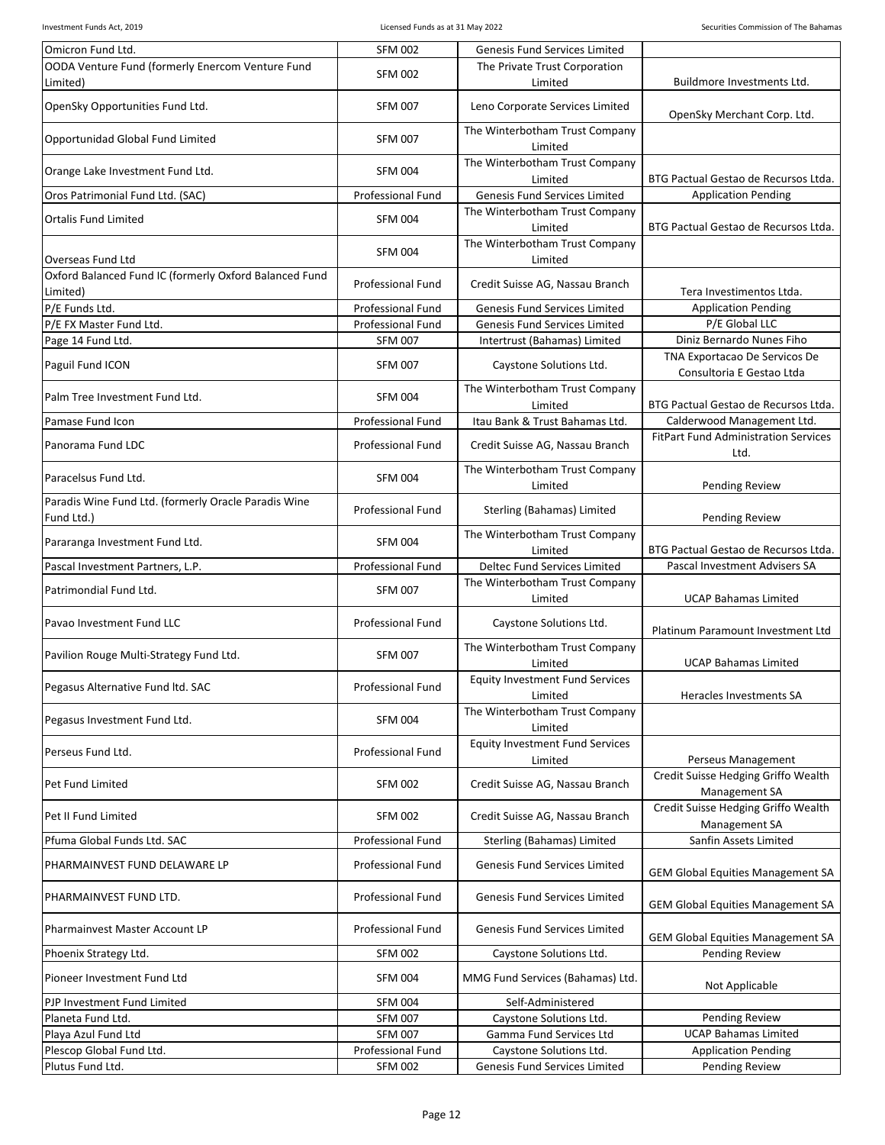| Omicron Fund Ltd.                                                  | <b>SFM 002</b>           | Genesis Fund Services Limited                     |                                                            |
|--------------------------------------------------------------------|--------------------------|---------------------------------------------------|------------------------------------------------------------|
| OODA Venture Fund (formerly Enercom Venture Fund                   | <b>SFM 002</b>           | The Private Trust Corporation                     |                                                            |
| Limited)                                                           |                          | Limited                                           | Buildmore Investments Ltd.                                 |
| OpenSky Opportunities Fund Ltd.                                    | <b>SFM 007</b>           | Leno Corporate Services Limited                   | OpenSky Merchant Corp. Ltd.                                |
| Opportunidad Global Fund Limited                                   | <b>SFM 007</b>           | The Winterbotham Trust Company<br>Limited         |                                                            |
| Orange Lake Investment Fund Ltd.                                   | <b>SFM 004</b>           | The Winterbotham Trust Company<br>Limited         | BTG Pactual Gestao de Recursos Ltda.                       |
| Oros Patrimonial Fund Ltd. (SAC)                                   | <b>Professional Fund</b> | Genesis Fund Services Limited                     | <b>Application Pending</b>                                 |
|                                                                    |                          | The Winterbotham Trust Company                    |                                                            |
| <b>Ortalis Fund Limited</b>                                        | <b>SFM 004</b>           | Limited                                           | BTG Pactual Gestao de Recursos Ltda.                       |
| Overseas Fund Ltd                                                  | <b>SFM 004</b>           | The Winterbotham Trust Company<br>Limited         |                                                            |
| Oxford Balanced Fund IC (formerly Oxford Balanced Fund             |                          |                                                   |                                                            |
| Limited)                                                           | Professional Fund        | Credit Suisse AG, Nassau Branch                   | Tera Investimentos Ltda.                                   |
| P/E Funds Ltd.                                                     | <b>Professional Fund</b> | <b>Genesis Fund Services Limited</b>              | <b>Application Pending</b>                                 |
| P/E FX Master Fund Ltd.                                            | <b>Professional Fund</b> | Genesis Fund Services Limited                     | P/E Global LLC                                             |
| Page 14 Fund Ltd.                                                  | <b>SFM 007</b>           | Intertrust (Bahamas) Limited                      | Diniz Bernardo Nunes Fiho                                  |
| Paguil Fund ICON                                                   | <b>SFM 007</b>           | Caystone Solutions Ltd.                           | TNA Exportacao De Servicos De<br>Consultoria E Gestao Ltda |
| Palm Tree Investment Fund Ltd.                                     | <b>SFM 004</b>           | The Winterbotham Trust Company<br>Limited         | BTG Pactual Gestao de Recursos Ltda.                       |
| Pamase Fund Icon                                                   | <b>Professional Fund</b> | Itau Bank & Trust Bahamas Ltd.                    | Calderwood Management Ltd.                                 |
| Panorama Fund LDC                                                  | <b>Professional Fund</b> | Credit Suisse AG, Nassau Branch                   | <b>FitPart Fund Administration Services</b><br>Ltd.        |
| Paracelsus Fund Ltd.                                               | <b>SFM 004</b>           | The Winterbotham Trust Company<br>Limited         | Pending Review                                             |
| Paradis Wine Fund Ltd. (formerly Oracle Paradis Wine<br>Fund Ltd.) | Professional Fund        | Sterling (Bahamas) Limited                        | Pending Review                                             |
| Pararanga Investment Fund Ltd.                                     | <b>SFM 004</b>           | The Winterbotham Trust Company<br>Limited         | BTG Pactual Gestao de Recursos Ltda.                       |
| Pascal Investment Partners, L.P.                                   | <b>Professional Fund</b> | <b>Deltec Fund Services Limited</b>               | Pascal Investment Advisers SA                              |
| Patrimondial Fund Ltd.                                             | <b>SFM 007</b>           | The Winterbotham Trust Company<br>Limited         | <b>UCAP Bahamas Limited</b>                                |
| Pavao Investment Fund LLC                                          | Professional Fund        | Caystone Solutions Ltd.                           | Platinum Paramount Investment Ltd                          |
| Pavilion Rouge Multi-Strategy Fund Ltd.                            | <b>SFM 007</b>           | The Winterbotham Trust Company<br>Limited         | <b>UCAP Bahamas Limited</b>                                |
| Pegasus Alternative Fund Itd. SAC                                  | Professional Fund        | <b>Equity Investment Fund Services</b>            |                                                            |
|                                                                    |                          | Limited                                           | Heracles Investments SA                                    |
| Pegasus Investment Fund Ltd.                                       | <b>SFM 004</b>           | The Winterbotham Trust Company<br>Limited         |                                                            |
| Perseus Fund Ltd.                                                  | Professional Fund        | <b>Equity Investment Fund Services</b><br>Limited | Perseus Management                                         |
| Pet Fund Limited                                                   | <b>SFM 002</b>           | Credit Suisse AG, Nassau Branch                   | Credit Suisse Hedging Griffo Wealth<br>Management SA       |
| Pet II Fund Limited                                                | <b>SFM 002</b>           | Credit Suisse AG, Nassau Branch                   | Credit Suisse Hedging Griffo Wealth<br>Management SA       |
| Pfuma Global Funds Ltd. SAC                                        | Professional Fund        | Sterling (Bahamas) Limited                        | Sanfin Assets Limited                                      |
| PHARMAINVEST FUND DELAWARE LP                                      | <b>Professional Fund</b> | <b>Genesis Fund Services Limited</b>              | <b>GEM Global Equities Management SA</b>                   |
| PHARMAINVEST FUND LTD.                                             | Professional Fund        | Genesis Fund Services Limited                     | <b>GEM Global Equities Management SA</b>                   |
| Pharmainvest Master Account LP                                     | Professional Fund        | Genesis Fund Services Limited                     | <b>GEM Global Equities Management SA</b>                   |
| Phoenix Strategy Ltd.                                              | <b>SFM 002</b>           | Caystone Solutions Ltd.                           | Pending Review                                             |
| Pioneer Investment Fund Ltd                                        | <b>SFM 004</b>           | MMG Fund Services (Bahamas) Ltd.                  | Not Applicable                                             |
| PJP Investment Fund Limited                                        | <b>SFM 004</b>           | Self-Administered                                 |                                                            |
| Planeta Fund Ltd.                                                  | <b>SFM 007</b>           | Caystone Solutions Ltd.                           | <b>Pending Review</b>                                      |
| Playa Azul Fund Ltd                                                | <b>SFM 007</b>           | Gamma Fund Services Ltd                           | <b>UCAP Bahamas Limited</b>                                |
| Plescop Global Fund Ltd.                                           | Professional Fund        | Caystone Solutions Ltd.                           | <b>Application Pending</b>                                 |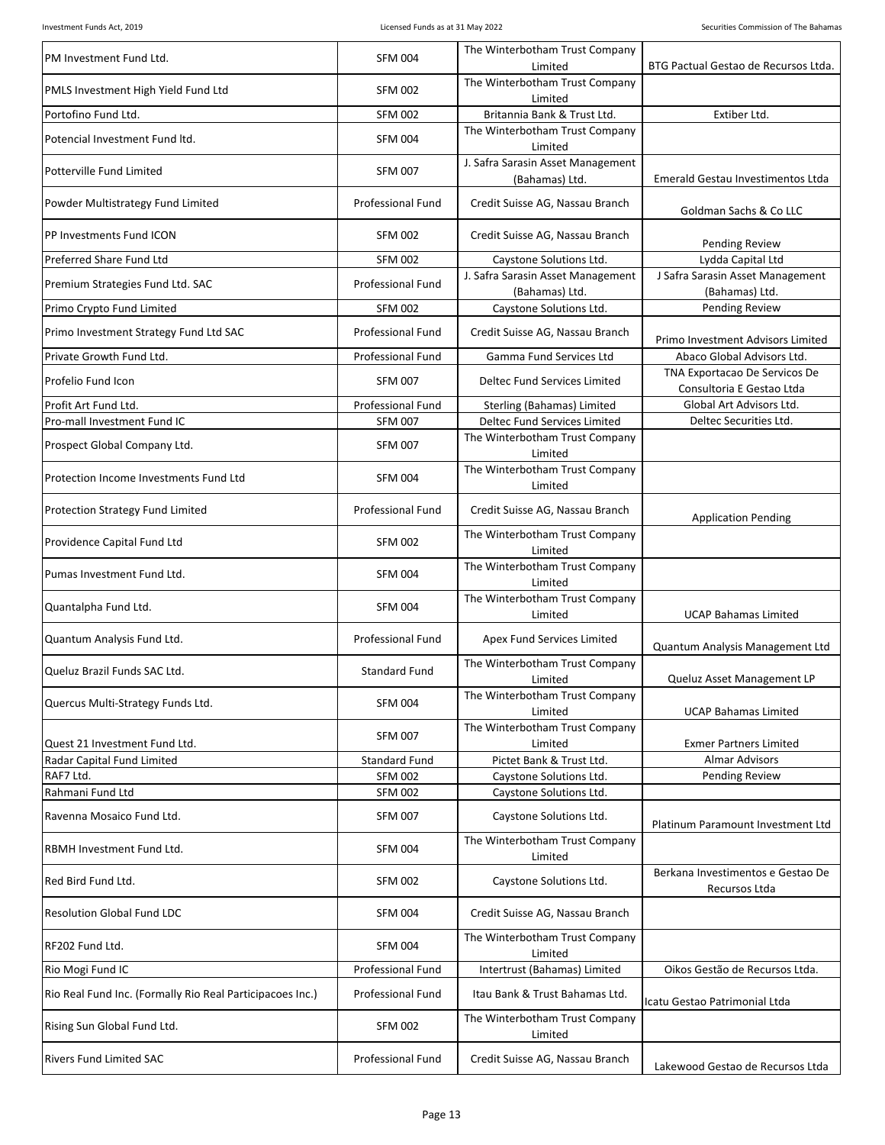| PM Investment Fund Ltd.                                   | <b>SFM 004</b>           | The Winterbotham Trust Company<br>Limited           | BTG Pactual Gestao de Recursos Ltda.                       |
|-----------------------------------------------------------|--------------------------|-----------------------------------------------------|------------------------------------------------------------|
| PMLS Investment High Yield Fund Ltd                       | <b>SFM 002</b>           | The Winterbotham Trust Company<br>Limited           |                                                            |
| Portofino Fund Ltd.                                       | <b>SFM 002</b>           | Britannia Bank & Trust Ltd.                         | Extiber Ltd.                                               |
| Potencial Investment Fund Itd.                            | <b>SFM 004</b>           | The Winterbotham Trust Company<br>Limited           |                                                            |
| Potterville Fund Limited                                  | <b>SFM 007</b>           | J. Safra Sarasin Asset Management<br>(Bahamas) Ltd. | Emerald Gestau Investimentos Ltda                          |
| Powder Multistrategy Fund Limited                         | <b>Professional Fund</b> | Credit Suisse AG, Nassau Branch                     | Goldman Sachs & Co LLC                                     |
| PP Investments Fund ICON                                  | <b>SFM 002</b>           | Credit Suisse AG, Nassau Branch                     | <b>Pending Review</b>                                      |
| Preferred Share Fund Ltd                                  | <b>SFM 002</b>           | Caystone Solutions Ltd.                             | Lydda Capital Ltd                                          |
| Premium Strategies Fund Ltd. SAC                          | <b>Professional Fund</b> | J. Safra Sarasin Asset Management<br>(Bahamas) Ltd. | J Safra Sarasin Asset Management<br>(Bahamas) Ltd.         |
| Primo Crypto Fund Limited                                 | <b>SFM 002</b>           | Caystone Solutions Ltd.                             | Pending Review                                             |
| Primo Investment Strategy Fund Ltd SAC                    | <b>Professional Fund</b> | Credit Suisse AG, Nassau Branch                     | Primo Investment Advisors Limited                          |
| Private Growth Fund Ltd.                                  | <b>Professional Fund</b> | Gamma Fund Services Ltd                             | Abaco Global Advisors Ltd.                                 |
| Profelio Fund Icon                                        | <b>SFM 007</b>           | Deltec Fund Services Limited                        | TNA Exportacao De Servicos De<br>Consultoria E Gestao Ltda |
| Profit Art Fund Ltd.                                      | <b>Professional Fund</b> | Sterling (Bahamas) Limited                          | Global Art Advisors Ltd.                                   |
| Pro-mall Investment Fund IC                               | <b>SFM 007</b>           | <b>Deltec Fund Services Limited</b>                 | Deltec Securities Ltd.                                     |
| Prospect Global Company Ltd.                              | <b>SFM 007</b>           | The Winterbotham Trust Company<br>Limited           |                                                            |
| Protection Income Investments Fund Ltd                    | <b>SFM 004</b>           | The Winterbotham Trust Company<br>Limited           |                                                            |
| <b>Protection Strategy Fund Limited</b>                   | <b>Professional Fund</b> | Credit Suisse AG, Nassau Branch                     | <b>Application Pending</b>                                 |
| Providence Capital Fund Ltd                               | <b>SFM 002</b>           | The Winterbotham Trust Company<br>Limited           |                                                            |
| Pumas Investment Fund Ltd.                                | <b>SFM 004</b>           | The Winterbotham Trust Company<br>Limited           |                                                            |
| Quantalpha Fund Ltd.                                      | <b>SFM 004</b>           | The Winterbotham Trust Company<br>Limited           | <b>UCAP Bahamas Limited</b>                                |
| Quantum Analysis Fund Ltd.                                | <b>Professional Fund</b> | Apex Fund Services Limited                          | Quantum Analysis Management Ltd                            |
| Queluz Brazil Funds SAC Ltd.                              | <b>Standard Fund</b>     | The Winterbotham Trust Company<br>Limited           | Queluz Asset Management LP                                 |
| Quercus Multi-Strategy Funds Ltd.                         | <b>SFM 004</b>           | The Winterbotham Trust Company<br>Limited           | <b>UCAP Bahamas Limited</b>                                |
| Quest 21 Investment Fund Ltd.                             | <b>SFM 007</b>           | The Winterbotham Trust Company<br>Limited           | <b>Exmer Partners Limited</b>                              |
| Radar Capital Fund Limited                                | <b>Standard Fund</b>     | Pictet Bank & Trust Ltd.                            | <b>Almar Advisors</b>                                      |
| RAF7 Ltd.                                                 | <b>SFM 002</b>           | Caystone Solutions Ltd.                             | Pending Review                                             |
| Rahmani Fund Ltd                                          | <b>SFM 002</b>           | Caystone Solutions Ltd.                             |                                                            |
| Ravenna Mosaico Fund Ltd.                                 | <b>SFM 007</b>           | Caystone Solutions Ltd.                             | Platinum Paramount Investment Ltd                          |
| <b>RBMH Investment Fund Ltd.</b>                          | <b>SFM 004</b>           | The Winterbotham Trust Company<br>Limited           |                                                            |
| Red Bird Fund Ltd.                                        | <b>SFM 002</b>           | Caystone Solutions Ltd.                             | Berkana Investimentos e Gestao De<br>Recursos Ltda         |
| <b>Resolution Global Fund LDC</b>                         | <b>SFM 004</b>           | Credit Suisse AG, Nassau Branch                     |                                                            |
| RF202 Fund Ltd.                                           | <b>SFM 004</b>           | The Winterbotham Trust Company<br>Limited           |                                                            |
| Rio Mogi Fund IC                                          | <b>Professional Fund</b> | Intertrust (Bahamas) Limited                        | Oikos Gestão de Recursos Ltda.                             |
| Rio Real Fund Inc. (Formally Rio Real Participacoes Inc.) | Professional Fund        | Itau Bank & Trust Bahamas Ltd.                      | Icatu Gestao Patrimonial Ltda                              |
| Rising Sun Global Fund Ltd.                               | <b>SFM 002</b>           | The Winterbotham Trust Company<br>Limited           |                                                            |
| <b>Rivers Fund Limited SAC</b>                            | Professional Fund        | Credit Suisse AG, Nassau Branch                     | Lakewood Gestao de Recursos Ltda                           |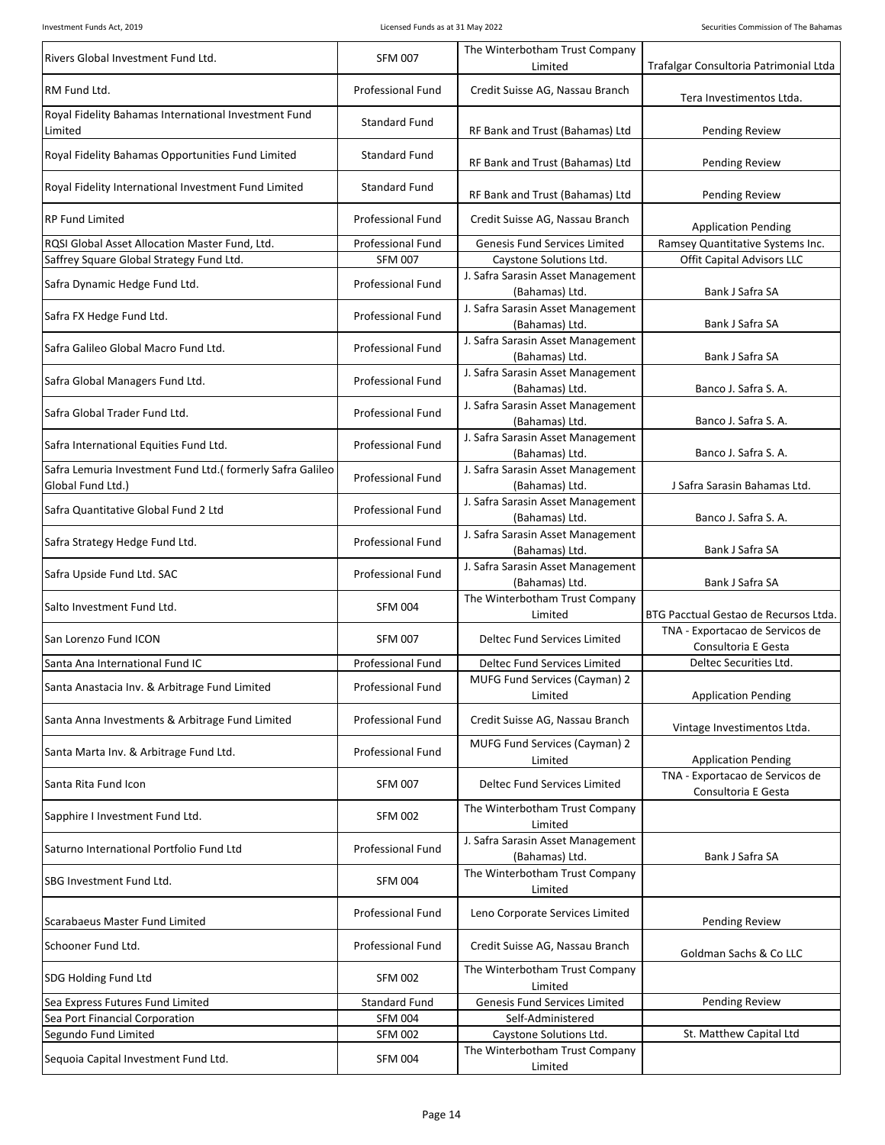| Rivers Global Investment Fund Ltd.                                              | <b>SFM 007</b>           | The Winterbotham Trust Company<br>Limited           | Trafalgar Consultoria Patrimonial Ltda                 |
|---------------------------------------------------------------------------------|--------------------------|-----------------------------------------------------|--------------------------------------------------------|
| RM Fund Ltd.                                                                    | Professional Fund        | Credit Suisse AG, Nassau Branch                     | Tera Investimentos Ltda.                               |
| Royal Fidelity Bahamas International Investment Fund<br>Limited                 | <b>Standard Fund</b>     | RF Bank and Trust (Bahamas) Ltd                     | <b>Pending Review</b>                                  |
| Royal Fidelity Bahamas Opportunities Fund Limited                               | <b>Standard Fund</b>     | RF Bank and Trust (Bahamas) Ltd                     | <b>Pending Review</b>                                  |
| Royal Fidelity International Investment Fund Limited                            | Standard Fund            | RF Bank and Trust (Bahamas) Ltd                     | Pending Review                                         |
| <b>RP Fund Limited</b>                                                          | Professional Fund        | Credit Suisse AG, Nassau Branch                     | <b>Application Pending</b>                             |
| ROSI Global Asset Allocation Master Fund. Ltd.                                  | <b>Professional Fund</b> | Genesis Fund Services Limited                       | Ramsey Quantitative Systems Inc.                       |
| Saffrey Square Global Strategy Fund Ltd.                                        | <b>SFM 007</b>           | Caystone Solutions Ltd.                             | Offit Capital Advisors LLC                             |
| Safra Dynamic Hedge Fund Ltd.                                                   | <b>Professional Fund</b> | J. Safra Sarasin Asset Management<br>(Bahamas) Ltd. | Bank J Safra SA                                        |
| Safra FX Hedge Fund Ltd.                                                        | Professional Fund        | J. Safra Sarasin Asset Management<br>(Bahamas) Ltd. | Bank J Safra SA                                        |
| Safra Galileo Global Macro Fund Ltd.                                            | Professional Fund        | J. Safra Sarasin Asset Management<br>(Bahamas) Ltd. | Bank J Safra SA                                        |
| Safra Global Managers Fund Ltd.                                                 | <b>Professional Fund</b> | J. Safra Sarasin Asset Management<br>(Bahamas) Ltd. | Banco J. Safra S. A.                                   |
|                                                                                 |                          | J. Safra Sarasin Asset Management                   |                                                        |
| Safra Global Trader Fund Ltd.                                                   | Professional Fund        | (Bahamas) Ltd.<br>J. Safra Sarasin Asset Management | Banco J. Safra S. A.                                   |
| Safra International Equities Fund Ltd.                                          | Professional Fund        | (Bahamas) Ltd.                                      | Banco J. Safra S. A.                                   |
| Safra Lemuria Investment Fund Ltd.( formerly Safra Galileo<br>Global Fund Ltd.) | Professional Fund        | J. Safra Sarasin Asset Management<br>(Bahamas) Ltd. | J Safra Sarasin Bahamas Ltd.                           |
| Safra Quantitative Global Fund 2 Ltd                                            | Professional Fund        | J. Safra Sarasin Asset Management<br>(Bahamas) Ltd. | Banco J. Safra S. A.                                   |
| Safra Strategy Hedge Fund Ltd.                                                  | Professional Fund        | J. Safra Sarasin Asset Management<br>(Bahamas) Ltd. | Bank J Safra SA                                        |
| Safra Upside Fund Ltd. SAC                                                      | Professional Fund        | J. Safra Sarasin Asset Management<br>(Bahamas) Ltd. | Bank J Safra SA                                        |
| Salto Investment Fund Ltd.                                                      | <b>SFM 004</b>           | The Winterbotham Trust Company<br>Limited           | BTG Pacctual Gestao de Recursos Ltda.                  |
| San Lorenzo Fund ICON                                                           | <b>SFM 007</b>           | Deltec Fund Services Limited                        | TNA - Exportacao de Servicos de<br>Consultoria E Gesta |
| Santa Ana International Fund IC                                                 | <b>Professional Fund</b> | Deltec Fund Services Limited                        | Deltec Securities Ltd.                                 |
| Santa Anastacia Inv. & Arbitrage Fund Limited                                   | Professional Fund        | MUFG Fund Services (Cayman) 2<br>Limited            | <b>Application Pending</b>                             |
| Santa Anna Investments & Arbitrage Fund Limited                                 | <b>Professional Fund</b> | Credit Suisse AG, Nassau Branch                     | Vintage Investimentos Ltda.                            |
| Santa Marta Inv. & Arbitrage Fund Ltd.                                          | Professional Fund        | MUFG Fund Services (Cayman) 2<br>Limited            | <b>Application Pending</b>                             |
| Santa Rita Fund Icon                                                            | <b>SFM 007</b>           | Deltec Fund Services Limited                        | TNA - Exportacao de Servicos de                        |
| Sapphire I Investment Fund Ltd.                                                 | <b>SFM 002</b>           | The Winterbotham Trust Company                      | Consultoria E Gesta                                    |
| Saturno International Portfolio Fund Ltd                                        | <b>Professional Fund</b> | Limited<br>J. Safra Sarasin Asset Management        |                                                        |
|                                                                                 |                          | (Bahamas) Ltd.<br>The Winterbotham Trust Company    | Bank J Safra SA                                        |
| SBG Investment Fund Ltd.                                                        | <b>SFM 004</b>           | Limited                                             |                                                        |
| Scarabaeus Master Fund Limited                                                  | Professional Fund        | Leno Corporate Services Limited                     | <b>Pending Review</b>                                  |
| Schooner Fund Ltd.                                                              | Professional Fund        | Credit Suisse AG, Nassau Branch                     | Goldman Sachs & Co LLC                                 |
| SDG Holding Fund Ltd                                                            | <b>SFM 002</b>           | The Winterbotham Trust Company<br>Limited           |                                                        |
| Sea Express Futures Fund Limited                                                | <b>Standard Fund</b>     | Genesis Fund Services Limited                       | <b>Pending Review</b>                                  |
| Sea Port Financial Corporation                                                  | <b>SFM 004</b>           | Self-Administered                                   |                                                        |
| Segundo Fund Limited                                                            | <b>SFM 002</b>           | Caystone Solutions Ltd.                             | St. Matthew Capital Ltd                                |
| Sequoia Capital Investment Fund Ltd.                                            | <b>SFM 004</b>           | The Winterbotham Trust Company<br>Limited           |                                                        |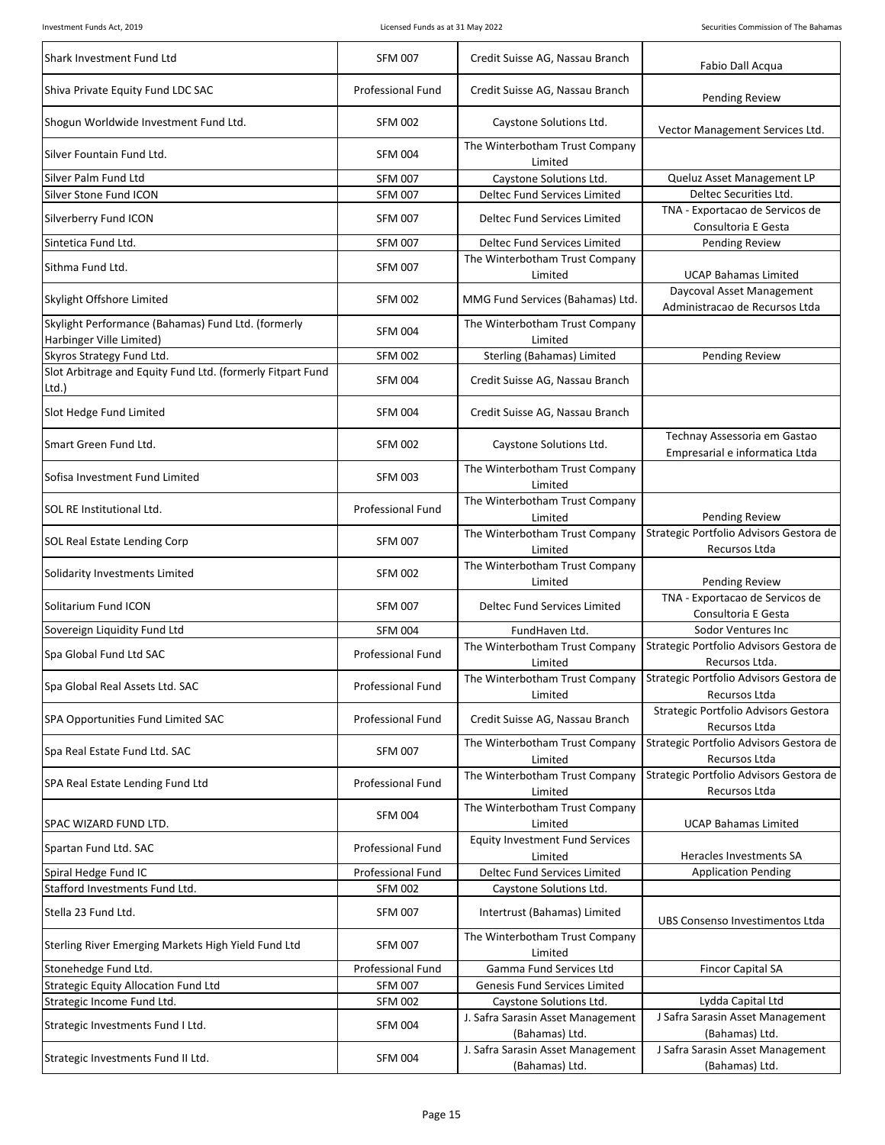| Shark Investment Fund Ltd                                                      | <b>SFM 007</b>           | Credit Suisse AG, Nassau Branch                     | Fabio Dall Acqua                                               |
|--------------------------------------------------------------------------------|--------------------------|-----------------------------------------------------|----------------------------------------------------------------|
| Shiva Private Equity Fund LDC SAC                                              | Professional Fund        | Credit Suisse AG, Nassau Branch                     | Pending Review                                                 |
| Shogun Worldwide Investment Fund Ltd.                                          | <b>SFM 002</b>           | Caystone Solutions Ltd.                             | Vector Management Services Ltd.                                |
| Silver Fountain Fund Ltd.                                                      | <b>SFM 004</b>           | The Winterbotham Trust Company<br>Limited           |                                                                |
| Silver Palm Fund Ltd                                                           | <b>SFM 007</b>           | Caystone Solutions Ltd.                             | Queluz Asset Management LP                                     |
| Silver Stone Fund ICON                                                         | <b>SFM 007</b>           | Deltec Fund Services Limited                        | Deltec Securities Ltd.                                         |
| Silverberry Fund ICON                                                          | <b>SFM 007</b>           | Deltec Fund Services Limited                        | TNA - Exportacao de Servicos de<br>Consultoria E Gesta         |
| Sintetica Fund Ltd.                                                            | <b>SFM 007</b>           | Deltec Fund Services Limited                        | <b>Pending Review</b>                                          |
| Sithma Fund Ltd.                                                               | <b>SFM 007</b>           | The Winterbotham Trust Company<br>Limited           | <b>UCAP Bahamas Limited</b>                                    |
| Skylight Offshore Limited                                                      | <b>SFM 002</b>           | MMG Fund Services (Bahamas) Ltd.                    | Daycoval Asset Management<br>Administracao de Recursos Ltda    |
| Skylight Performance (Bahamas) Fund Ltd. (formerly<br>Harbinger Ville Limited) | <b>SFM 004</b>           | The Winterbotham Trust Company<br>Limited           |                                                                |
| Skyros Strategy Fund Ltd.                                                      | <b>SFM 002</b>           | Sterling (Bahamas) Limited                          | <b>Pending Review</b>                                          |
| Slot Arbitrage and Equity Fund Ltd. (formerly Fitpart Fund<br>Ltd.)            | <b>SFM 004</b>           | Credit Suisse AG, Nassau Branch                     |                                                                |
| Slot Hedge Fund Limited                                                        | <b>SFM 004</b>           | Credit Suisse AG, Nassau Branch                     |                                                                |
| Smart Green Fund Ltd.                                                          | <b>SFM 002</b>           | Caystone Solutions Ltd.                             | Technay Assessoria em Gastao<br>Empresarial e informatica Ltda |
| Sofisa Investment Fund Limited                                                 | <b>SFM 003</b>           | The Winterbotham Trust Company<br>Limited           |                                                                |
| SOL RE Institutional Ltd.                                                      | Professional Fund        | The Winterbotham Trust Company<br>Limited           | <b>Pending Review</b>                                          |
| SOL Real Estate Lending Corp                                                   | <b>SFM 007</b>           | The Winterbotham Trust Company<br>Limited           | Strategic Portfolio Advisors Gestora de<br>Recursos Ltda       |
| Solidarity Investments Limited                                                 | <b>SFM 002</b>           | The Winterbotham Trust Company<br>Limited           | <b>Pending Review</b>                                          |
| Solitarium Fund ICON                                                           | <b>SFM 007</b>           | Deltec Fund Services Limited                        | TNA - Exportacao de Servicos de<br>Consultoria E Gesta         |
| Sovereign Liquidity Fund Ltd                                                   | <b>SFM 004</b>           | FundHaven Ltd.                                      | Sodor Ventures Inc                                             |
| Spa Global Fund Ltd SAC                                                        | Professional Fund        | The Winterbotham Trust Company<br>Limited           | Strategic Portfolio Advisors Gestora de<br>Recursos Ltda.      |
| Spa Global Real Assets Ltd. SAC                                                | Professional Fund        | The Winterbotham Trust Company<br>Limited           | Strategic Portfolio Advisors Gestora de<br>Recursos Ltda       |
| SPA Opportunities Fund Limited SAC                                             | <b>Professional Fund</b> | Credit Suisse AG, Nassau Branch                     | Strategic Portfolio Advisors Gestora<br>Recursos Ltda          |
| Spa Real Estate Fund Ltd. SAC                                                  | <b>SFM 007</b>           | The Winterbotham Trust Company<br>Limited           | Strategic Portfolio Advisors Gestora de<br>Recursos Ltda       |
| SPA Real Estate Lending Fund Ltd                                               | Professional Fund        | The Winterbotham Trust Company<br>Limited           | Strategic Portfolio Advisors Gestora de<br>Recursos Ltda       |
| SPAC WIZARD FUND LTD.                                                          | <b>SFM 004</b>           | The Winterbotham Trust Company<br>Limited           | <b>UCAP Bahamas Limited</b>                                    |
| Spartan Fund Ltd. SAC                                                          | Professional Fund        | <b>Equity Investment Fund Services</b><br>Limited   | Heracles Investments SA                                        |
| Spiral Hedge Fund IC                                                           | <b>Professional Fund</b> | Deltec Fund Services Limited                        | <b>Application Pending</b>                                     |
| Stafford Investments Fund Ltd.                                                 | <b>SFM 002</b>           | Caystone Solutions Ltd.                             |                                                                |
| Stella 23 Fund Ltd.                                                            | <b>SFM 007</b>           | Intertrust (Bahamas) Limited                        | UBS Consenso Investimentos Ltda                                |
| Sterling River Emerging Markets High Yield Fund Ltd                            | <b>SFM 007</b>           | The Winterbotham Trust Company<br>Limited           |                                                                |
| Stonehedge Fund Ltd.                                                           | Professional Fund        | Gamma Fund Services Ltd                             | <b>Fincor Capital SA</b>                                       |
| <b>Strategic Equity Allocation Fund Ltd</b>                                    | <b>SFM 007</b>           | Genesis Fund Services Limited                       |                                                                |
| Strategic Income Fund Ltd.                                                     | <b>SFM 002</b>           | Caystone Solutions Ltd.                             | Lydda Capital Ltd                                              |
| Strategic Investments Fund I Ltd.                                              | <b>SFM 004</b>           | J. Safra Sarasin Asset Management<br>(Bahamas) Ltd. | J Safra Sarasin Asset Management<br>(Bahamas) Ltd.             |
| Strategic Investments Fund II Ltd.                                             | <b>SFM 004</b>           | J. Safra Sarasin Asset Management<br>(Bahamas) Ltd. | J Safra Sarasin Asset Management<br>(Bahamas) Ltd.             |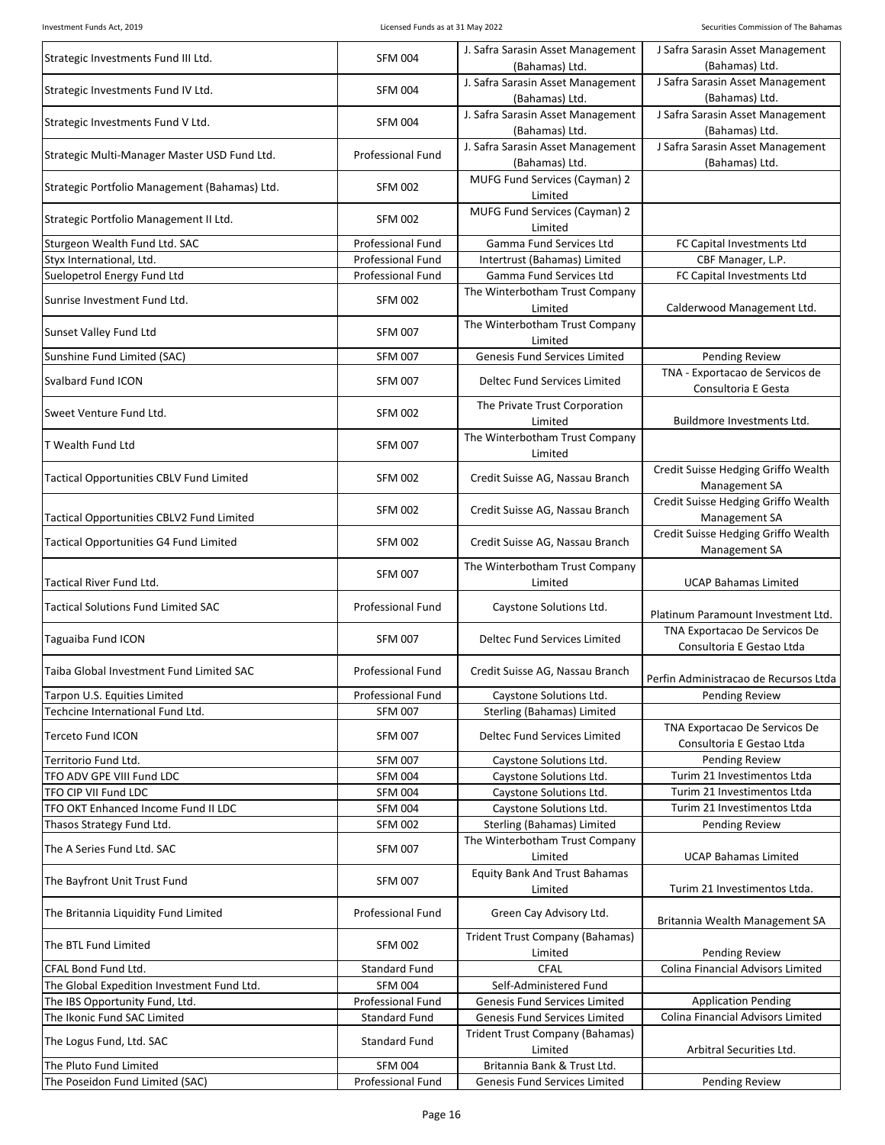| Strategic Investments Fund III Ltd.             | <b>SFM 004</b>           | J. Safra Sarasin Asset Management<br>(Bahamas) Ltd. | J Safra Sarasin Asset Management<br>(Bahamas) Ltd.         |
|-------------------------------------------------|--------------------------|-----------------------------------------------------|------------------------------------------------------------|
| Strategic Investments Fund IV Ltd.              | <b>SFM 004</b>           | J. Safra Sarasin Asset Management<br>(Bahamas) Ltd. | J Safra Sarasin Asset Management<br>(Bahamas) Ltd.         |
| Strategic Investments Fund V Ltd.               | <b>SFM 004</b>           | J. Safra Sarasin Asset Management<br>(Bahamas) Ltd. | J Safra Sarasin Asset Management<br>(Bahamas) Ltd.         |
| Strategic Multi-Manager Master USD Fund Ltd.    | <b>Professional Fund</b> | J. Safra Sarasin Asset Management<br>(Bahamas) Ltd. | J Safra Sarasin Asset Management<br>(Bahamas) Ltd.         |
| Strategic Portfolio Management (Bahamas) Ltd.   | <b>SFM 002</b>           | MUFG Fund Services (Cayman) 2<br>Limited            |                                                            |
| Strategic Portfolio Management II Ltd.          | <b>SFM 002</b>           | MUFG Fund Services (Cayman) 2<br>Limited            |                                                            |
| Sturgeon Wealth Fund Ltd. SAC                   | <b>Professional Fund</b> | Gamma Fund Services Ltd                             | FC Capital Investments Ltd                                 |
| Styx International, Ltd.                        | <b>Professional Fund</b> | Intertrust (Bahamas) Limited                        | CBF Manager, L.P.                                          |
| Suelopetrol Energy Fund Ltd                     | Professional Fund        | Gamma Fund Services Ltd                             | FC Capital Investments Ltd                                 |
| Sunrise Investment Fund Ltd.                    | <b>SFM 002</b>           | The Winterbotham Trust Company<br>Limited           | Calderwood Management Ltd.                                 |
| Sunset Valley Fund Ltd                          | <b>SFM 007</b>           | The Winterbotham Trust Company<br>Limited           |                                                            |
| Sunshine Fund Limited (SAC)                     | <b>SFM 007</b>           | Genesis Fund Services Limited                       | Pending Review                                             |
| Svalbard Fund ICON                              | <b>SFM 007</b>           | Deltec Fund Services Limited                        | TNA - Exportacao de Servicos de<br>Consultoria E Gesta     |
| Sweet Venture Fund Ltd.                         | <b>SFM 002</b>           | The Private Trust Corporation<br>Limited            | Buildmore Investments Ltd.                                 |
| T Wealth Fund Ltd                               | <b>SFM 007</b>           | The Winterbotham Trust Company<br>Limited           |                                                            |
| <b>Tactical Opportunities CBLV Fund Limited</b> | <b>SFM 002</b>           | Credit Suisse AG, Nassau Branch                     | Credit Suisse Hedging Griffo Wealth<br>Management SA       |
| Tactical Opportunities CBLV2 Fund Limited       | <b>SFM 002</b>           | Credit Suisse AG, Nassau Branch                     | Credit Suisse Hedging Griffo Wealth<br>Management SA       |
| <b>Tactical Opportunities G4 Fund Limited</b>   | <b>SFM 002</b>           | Credit Suisse AG, Nassau Branch                     | Credit Suisse Hedging Griffo Wealth<br>Management SA       |
| Tactical River Fund Ltd.                        | <b>SFM 007</b>           | The Winterbotham Trust Company<br>Limited           | <b>UCAP Bahamas Limited</b>                                |
| <b>Tactical Solutions Fund Limited SAC</b>      | <b>Professional Fund</b> | Caystone Solutions Ltd.                             | Platinum Paramount Investment Ltd.                         |
| Taguaiba Fund ICON                              | <b>SFM 007</b>           | Deltec Fund Services Limited                        | TNA Exportacao De Servicos De<br>Consultoria E Gestao Ltda |
| Taiba Global Investment Fund Limited SAC        | <b>Professional Fund</b> | Credit Suisse AG, Nassau Branch                     | Perfin Administracao de Recursos Ltda                      |
| Tarpon U.S. Equities Limited                    | Professional Fund        | Caystone Solutions Ltd.                             | <b>Pending Review</b>                                      |
| Techcine International Fund Ltd.                | <b>SFM 007</b>           | Sterling (Bahamas) Limited                          |                                                            |
| <b>Terceto Fund ICON</b>                        | <b>SFM 007</b>           | Deltec Fund Services Limited                        | TNA Exportacao De Servicos De<br>Consultoria E Gestao Ltda |
| Territorio Fund Ltd.                            | <b>SFM 007</b>           | Caystone Solutions Ltd.                             | <b>Pending Review</b>                                      |
| TFO ADV GPE VIII Fund LDC                       | <b>SFM 004</b>           | Caystone Solutions Ltd.                             | Turim 21 Investimentos Ltda                                |
| TFO CIP VII Fund LDC                            | <b>SFM 004</b>           | Caystone Solutions Ltd.                             | Turim 21 Investimentos Ltda                                |
| TFO OKT Enhanced Income Fund II LDC             | <b>SFM 004</b>           | Caystone Solutions Ltd.                             | Turim 21 Investimentos Ltda                                |
| Thasos Strategy Fund Ltd.                       | <b>SFM 002</b>           | Sterling (Bahamas) Limited                          | Pending Review                                             |
| The A Series Fund Ltd. SAC                      | <b>SFM 007</b>           | The Winterbotham Trust Company<br>Limited           | <b>UCAP Bahamas Limited</b>                                |
| The Bayfront Unit Trust Fund                    | <b>SFM 007</b>           | <b>Equity Bank And Trust Bahamas</b><br>Limited     | Turim 21 Investimentos Ltda.                               |
| The Britannia Liquidity Fund Limited            | Professional Fund        | Green Cay Advisory Ltd.                             | Britannia Wealth Management SA                             |
| The BTL Fund Limited                            | <b>SFM 002</b>           | <b>Trident Trust Company (Bahamas)</b><br>Limited   | <b>Pending Review</b>                                      |
| CFAL Bond Fund Ltd.                             | <b>Standard Fund</b>     | <b>CFAL</b>                                         | Colina Financial Advisors Limited                          |
| The Global Expedition Investment Fund Ltd.      | <b>SFM 004</b>           | Self-Administered Fund                              |                                                            |
| The IBS Opportunity Fund, Ltd.                  | Professional Fund        | Genesis Fund Services Limited                       | <b>Application Pending</b>                                 |
| The Ikonic Fund SAC Limited                     | Standard Fund            | Genesis Fund Services Limited                       | Colina Financial Advisors Limited                          |
| The Logus Fund, Ltd. SAC                        | Standard Fund            | Trident Trust Company (Bahamas)<br>Limited          | Arbitral Securities Ltd.                                   |
| The Pluto Fund Limited                          | <b>SFM 004</b>           | Britannia Bank & Trust Ltd.                         |                                                            |
| The Poseidon Fund Limited (SAC)                 | Professional Fund        | Genesis Fund Services Limited                       | <b>Pending Review</b>                                      |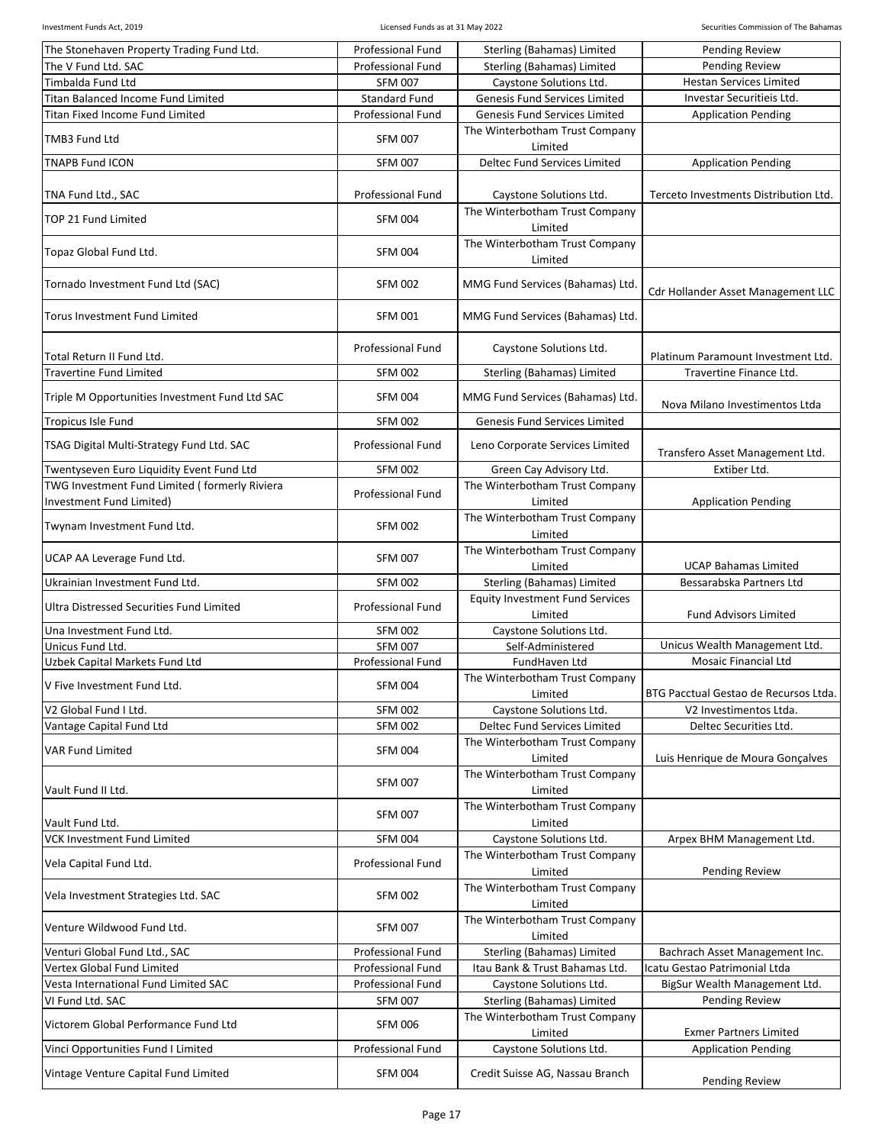| The Stonehaven Property Trading Fund Ltd.      | <b>Professional Fund</b>         | Sterling (Bahamas) Limited                        | <b>Pending Review</b>                           |
|------------------------------------------------|----------------------------------|---------------------------------------------------|-------------------------------------------------|
| The V Fund Ltd. SAC                            | <b>Professional Fund</b>         | Sterling (Bahamas) Limited                        | <b>Pending Review</b>                           |
| <b>Timbalda Fund Ltd</b>                       | <b>SFM 007</b>                   | Caystone Solutions Ltd.                           | <b>Hestan Services Limited</b>                  |
| Titan Balanced Income Fund Limited             | <b>Standard Fund</b>             | Genesis Fund Services Limited                     | Investar Securitieis Ltd.                       |
| <b>Titan Fixed Income Fund Limited</b>         | <b>Professional Fund</b>         | <b>Genesis Fund Services Limited</b>              | <b>Application Pending</b>                      |
| TMB3 Fund Ltd                                  | <b>SFM 007</b>                   | The Winterbotham Trust Company<br>Limited         |                                                 |
| <b>TNAPB Fund ICON</b>                         | <b>SFM 007</b>                   | Deltec Fund Services Limited                      | <b>Application Pending</b>                      |
| TNA Fund Ltd., SAC                             | Professional Fund                | Caystone Solutions Ltd.                           | Terceto Investments Distribution Ltd.           |
|                                                |                                  | The Winterbotham Trust Company                    |                                                 |
| TOP 21 Fund Limited                            | <b>SFM 004</b>                   | Limited                                           |                                                 |
| Topaz Global Fund Ltd.                         | <b>SFM 004</b>                   | The Winterbotham Trust Company<br>Limited         |                                                 |
| Tornado Investment Fund Ltd (SAC)              | <b>SFM 002</b>                   | MMG Fund Services (Bahamas) Ltd.                  | Cdr Hollander Asset Management LLC              |
| Torus Investment Fund Limited                  | <b>SFM 001</b>                   | MMG Fund Services (Bahamas) Ltd.                  |                                                 |
| Total Return II Fund Ltd.                      | Professional Fund                | Caystone Solutions Ltd.                           | Platinum Paramount Investment Ltd.              |
| <b>Travertine Fund Limited</b>                 | <b>SFM 002</b>                   | Sterling (Bahamas) Limited                        | Travertine Finance Ltd.                         |
| Triple M Opportunities Investment Fund Ltd SAC | <b>SFM 004</b>                   | MMG Fund Services (Bahamas) Ltd.                  |                                                 |
| Tropicus Isle Fund                             | <b>SFM 002</b>                   | Genesis Fund Services Limited                     | Nova Milano Investimentos Ltda                  |
| TSAG Digital Multi-Strategy Fund Ltd. SAC      | Professional Fund                | Leno Corporate Services Limited                   |                                                 |
| Twentyseven Euro Liquidity Event Fund Ltd      | <b>SFM 002</b>                   | Green Cay Advisory Ltd.                           | Transfero Asset Management Ltd.<br>Extiber Ltd. |
| TWG Investment Fund Limited (formerly Riviera  |                                  | The Winterbotham Trust Company                    |                                                 |
| Investment Fund Limited)                       | Professional Fund                | Limited                                           | <b>Application Pending</b>                      |
| Twynam Investment Fund Ltd.                    | <b>SFM 002</b>                   | The Winterbotham Trust Company<br>Limited         |                                                 |
| UCAP AA Leverage Fund Ltd.                     | <b>SFM 007</b>                   | The Winterbotham Trust Company<br>Limited         | <b>UCAP Bahamas Limited</b>                     |
| Ukrainian Investment Fund Ltd.                 | <b>SFM 002</b>                   | Sterling (Bahamas) Limited                        | Bessarabska Partners Ltd                        |
| Ultra Distressed Securities Fund Limited       | Professional Fund                | <b>Equity Investment Fund Services</b><br>Limited | <b>Fund Advisors Limited</b>                    |
| Una Investment Fund Ltd.                       |                                  | Caystone Solutions Ltd.                           |                                                 |
| Unicus Fund Ltd.                               | <b>SFM 002</b><br><b>SFM 007</b> | Self-Administered                                 | Unicus Wealth Management Ltd.                   |
| Uzbek Capital Markets Fund Ltd                 | <b>Professional Fund</b>         | FundHaven Ltd                                     | <b>Mosaic Financial Ltd</b>                     |
|                                                |                                  |                                                   |                                                 |
| V Five Investment Fund Ltd.                    | <b>SFM 004</b>                   | The Winterbotham Trust Company<br>Limited         | BTG Pacctual Gestao de Recursos Ltda.           |
| V2 Global Fund I Ltd.                          | <b>SFM 002</b>                   | Caystone Solutions Ltd.                           | V2 Investimentos Ltda.                          |
| Vantage Capital Fund Ltd                       | <b>SFM 002</b>                   | Deltec Fund Services Limited                      | Deltec Securities Ltd.                          |
| VAR Fund Limited                               | <b>SFM 004</b>                   | The Winterbotham Trust Company<br>Limited         | Luis Henrique de Moura Gonçalves                |
| Vault Fund II Ltd.                             | <b>SFM 007</b>                   | The Winterbotham Trust Company<br>Limited         |                                                 |
| Vault Fund Ltd.                                | <b>SFM 007</b>                   | The Winterbotham Trust Company<br>Limited         |                                                 |
| <b>VCK Investment Fund Limited</b>             | <b>SFM 004</b>                   | Caystone Solutions Ltd.                           | Arpex BHM Management Ltd.                       |
| Vela Capital Fund Ltd.                         | Professional Fund                | The Winterbotham Trust Company<br>Limited         | Pending Review                                  |
| Vela Investment Strategies Ltd. SAC            | <b>SFM 002</b>                   | The Winterbotham Trust Company<br>Limited         |                                                 |
| Venture Wildwood Fund Ltd.                     | <b>SFM 007</b>                   | The Winterbotham Trust Company<br>Limited         |                                                 |
| Venturi Global Fund Ltd., SAC                  | <b>Professional Fund</b>         | Sterling (Bahamas) Limited                        | Bachrach Asset Management Inc.                  |
| Vertex Global Fund Limited                     | Professional Fund                | Itau Bank & Trust Bahamas Ltd.                    | Icatu Gestao Patrimonial Ltda                   |
| Vesta International Fund Limited SAC           | Professional Fund                | Caystone Solutions Ltd.                           | BigSur Wealth Management Ltd.                   |
| VI Fund Ltd. SAC                               | <b>SFM 007</b>                   | Sterling (Bahamas) Limited                        | <b>Pending Review</b>                           |
|                                                |                                  | The Winterbotham Trust Company                    |                                                 |
| Victorem Global Performance Fund Ltd           | <b>SFM 006</b>                   | Limited                                           | <b>Exmer Partners Limited</b>                   |
| Vinci Opportunities Fund I Limited             | Professional Fund                | Caystone Solutions Ltd.                           | <b>Application Pending</b>                      |
| Vintage Venture Capital Fund Limited           | <b>SFM 004</b>                   | Credit Suisse AG, Nassau Branch                   | Pending Review                                  |